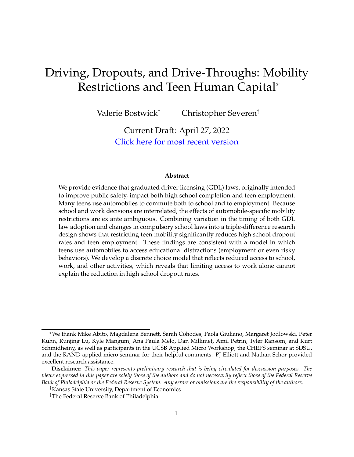# Driving, Dropouts, and Drive-Throughs: Mobility Restrictions and Teen Human Capital<sup>∗</sup>

Valerie Bostwick† Christopher Severen‡

Current Draft: April 27, 2022 [Click here for most recent version](https://vkbostwick.weebly.com/gdlanddropouts.html)

#### **Abstract**

We provide evidence that graduated driver licensing (GDL) laws, originally intended to improve public safety, impact both high school completion and teen employment. Many teens use automobiles to commute both to school and to employment. Because school and work decisions are interrelated, the effects of automobile-specific mobility restrictions are ex ante ambiguous. Combining variation in the timing of both GDL law adoption and changes in compulsory school laws into a triple-difference research design shows that restricting teen mobility significantly reduces high school dropout rates and teen employment. These findings are consistent with a model in which teens use automobiles to access educational distractions (employment or even risky behaviors). We develop a discrete choice model that reflects reduced access to school, work, and other activities, which reveals that limiting access to work alone cannot explain the reduction in high school dropout rates.

<sup>∗</sup>We thank Mike Abito, Magdalena Bennett, Sarah Cohodes, Paola Giuliano, Margaret Jodlowski, Peter Kuhn, Runjing Lu, Kyle Mangum, Ana Paula Melo, Dan Millimet, Amil Petrin, Tyler Ransom, and Kurt Schmidheiny, as well as participants in the UCSB Applied Micro Workshop, the CHEPS seminar at SDSU, and the RAND applied micro seminar for their helpful comments. PJ Elliott and Nathan Schor provided excellent research assistance.

**Disclaimer:** *This paper represents preliminary research that is being circulated for discussion purposes. The views expressed in this paper are solely those of the authors and do not necessarily reflect those of the Federal Reserve Bank of Philadelphia or the Federal Reserve System. Any errors or omissions are the responsibility of the authors.*

<sup>†</sup>Kansas State University, Department of Economics

<sup>‡</sup>The Federal Reserve Bank of Philadelphia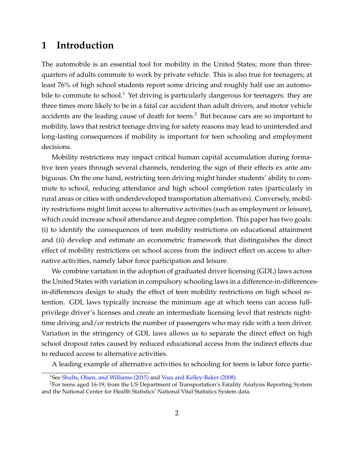# **1 Introduction**

The automobile is an essential tool for mobility in the United States; more than threequarters of adults commute to work by private vehicle. This is also true for teenagers; at least 76% of high school students report some driving and roughly half use an automobile to commute to school.<sup>1</sup> Yet driving is particularly dangerous for teenagers: they are three times more likely to be in a fatal car accident than adult drivers, and motor vehicle accidents are the leading cause of death for teens.<sup>2</sup> But because cars are so important to mobility, laws that restrict teenage driving for safety reasons may lead to unintended and long-lasting consequences if mobility is important for teen schooling and employment decisions.

Mobility restrictions may impact critical human capital accumulation during formative teen years through several channels, rendering the sign of their effects ex ante ambiguous. On the one hand, restricting teen driving might hinder students' ability to commute to school, reducing attendance and high school completion rates (particularly in rural areas or cities with underdeveloped transportation alternatives). Conversely, mobility restrictions might limit access to alternative activities (such as employment or leisure), which could increase school attendance and degree completion. This paper has two goals: (i) to identify the consequences of teen mobility restrictions on educational attainment and (ii) develop and estimate an econometric framework that distinguishes the direct effect of mobility restrictions on school access from the indirect effect on access to alternative activities, namely labor force participation and leisure.

We combine variation in the adoption of graduated driver licensing (GDL) laws across the United States with variation in compulsory schooling laws in a difference-in-differencesin-differences design to study the effect of teen mobility restrictions on high school retention. GDL laws typically increase the minimum age at which teens can access fullprivilege driver's licenses and create an intermediate licensing level that restricts nighttime driving and/or restricts the number of passengers who may ride with a teen driver. Variation in the stringency of GDL laws allows us to separate the direct effect on high school dropout rates caused by reduced educational access from the indirect effects due to reduced access to alternative activities.

A leading example of alternative activities to schooling for teens is labor force partic-

<sup>&</sup>lt;sup>1</sup>See [Shults, Olsen, and Williams \(2015\)](#page-37-0) and [Voas and Kelley-Baker \(2008\).](#page-37-1)

<sup>2</sup>For teens aged 16-19; from the US Department of Transportation's Fatality Analysis Reporting System and the National Center for Health Statistics' National Vital Statistics System data.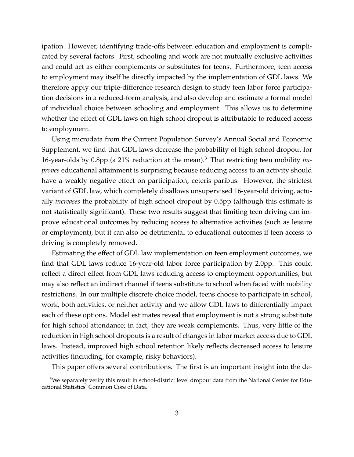ipation. However, identifying trade-offs between education and employment is complicated by several factors. First, schooling and work are not mutually exclusive activities and could act as either complements or substitutes for teens. Furthermore, teen access to employment may itself be directly impacted by the implementation of GDL laws. We therefore apply our triple-difference research design to study teen labor force participation decisions in a reduced-form analysis, and also develop and estimate a formal model of individual choice between schooling and employment. This allows us to determine whether the effect of GDL laws on high school dropout is attributable to reduced access to employment.

Using microdata from the Current Population Survey's Annual Social and Economic Supplement, we find that GDL laws decrease the probability of high school dropout for 16-year-olds by 0.8pp (a 21% reduction at the mean).<sup>3</sup> That restricting teen mobility *improves* educational attainment is surprising because reducing access to an activity should have a weakly negative effect on participation, ceteris paribus. However, the strictest variant of GDL law, which completely disallows unsupervised 16-year-old driving, actually *increases* the probability of high school dropout by 0.5pp (although this estimate is not statistically significant). These two results suggest that limiting teen driving can improve educational outcomes by reducing access to alternative activities (such as leisure or employment), but it can also be detrimental to educational outcomes if teen access to driving is completely removed.

Estimating the effect of GDL law implementation on teen employment outcomes, we find that GDL laws reduce 16-year-old labor force participation by 2.0pp. This could reflect a direct effect from GDL laws reducing access to employment opportunities, but may also reflect an indirect channel if teens substitute to school when faced with mobility restrictions. In our multiple discrete choice model, teens choose to participate in school, work, both activities, or neither activity and we allow GDL laws to differentially impact each of these options. Model estimates reveal that employment is not a strong substitute for high school attendance; in fact, they are weak complements. Thus, very little of the reduction in high school dropouts is a result of changes in labor market access due to GDL laws. Instead, improved high school retention likely reflects decreased access to leisure activities (including, for example, risky behaviors).

This paper offers several contributions. The first is an important insight into the de-

<sup>&</sup>lt;sup>3</sup>We separately verify this result in school-district level dropout data from the National Center for Educational Statistics' Common Core of Data.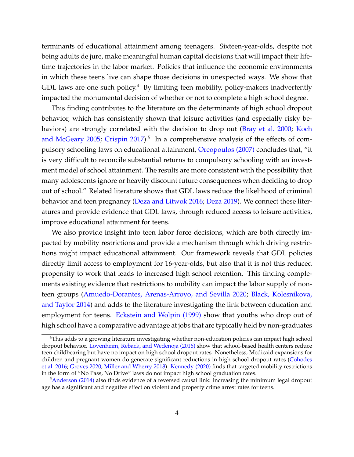terminants of educational attainment among teenagers. Sixteen-year-olds, despite not being adults de jure, make meaningful human capital decisions that will impact their lifetime trajectories in the labor market. Policies that influence the economic environments in which these teens live can shape those decisions in unexpected ways. We show that GDL laws are one such policy.<sup>4</sup> By limiting teen mobility, policy-makers inadvertently impacted the monumental decision of whether or not to complete a high school degree.

This finding contributes to the literature on the determinants of high school dropout behavior, which has consistently shown that leisure activities (and especially risky behaviors) are strongly correlated with the decision to drop out [\(Bray et al. 2000;](#page-34-0) [Koch](#page-36-0) [and McGeary 2005;](#page-36-0) [Crispin 2017\)](#page-35-0).<sup>5</sup> In a comprehensive analysis of the effects of compulsory schooling laws on educational attainment, [Oreopoulos \(2007\)](#page-37-2) concludes that, "it is very difficult to reconcile substantial returns to compulsory schooling with an investment model of school attainment. The results are more consistent with the possibility that many adolescents ignore or heavily discount future consequences when deciding to drop out of school." Related literature shows that GDL laws reduce the likelihood of criminal behavior and teen pregnancy [\(Deza and Litwok 2016;](#page-35-1) [Deza 2019\)](#page-35-2). We connect these literatures and provide evidence that GDL laws, through reduced access to leisure activities, improve educational attainment for teens.

We also provide insight into teen labor force decisions, which are both directly impacted by mobility restrictions and provide a mechanism through which driving restrictions might impact educational attainment. Our framework reveals that GDL policies directly limit access to employment for 16-year-olds, but also that it is not this reduced propensity to work that leads to increased high school retention. This finding complements existing evidence that restrictions to mobility can impact the labor supply of nonteen groups [\(Amuedo-Dorantes, Arenas-Arroyo, and Sevilla 2020;](#page-34-1) [Black, Kolesnikova,](#page-34-2) [and Taylor 2014\)](#page-34-2) and adds to the literature investigating the link between education and employment for teens. [Eckstein and Wolpin \(1999\)](#page-35-3) show that youths who drop out of high school have a comparative advantage at jobs that are typically held by non-graduates

<sup>&</sup>lt;sup>4</sup>This adds to a growing literature investigating whether non-education policies can impact high school dropout behavior. [Lovenheim, Reback, and Wedenoja \(2016\)](#page-36-1) show that school-based health centers reduce teen childbearing but have no impact on high school dropout rates. Nonetheless, Medicaid expansions for children and pregnant women do generate significant reductions in high school dropout rates [\(Cohodes](#page-35-4) [et al. 2016;](#page-35-4) [Groves 2020;](#page-36-2) [Miller and Wherry 2018\)](#page-36-3). [Kennedy \(2020\)](#page-36-4) finds that targeted mobility restrictions in the form of "No Pass, No Drive" laws do not impact high school graduation rates.

<sup>5</sup>[Anderson \(2014\)](#page-34-3) also finds evidence of a reversed causal link: increasing the minimum legal dropout age has a significant and negative effect on violent and property crime arrest rates for teens.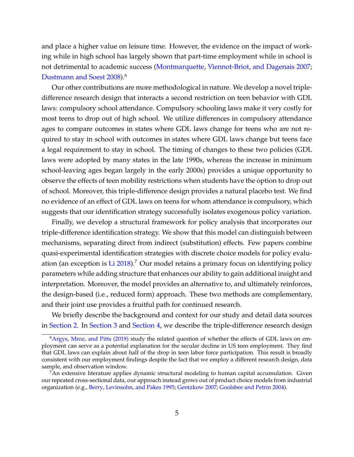and place a higher value on leisure time. However, the evidence on the impact of working while in high school has largely shown that part-time employment while in school is not detrimental to academic success [\(Montmarquette, Viennot-Briot, and Dagenais 2007;](#page-37-3) [Dustmann and Soest 2008\)](#page-35-5).<sup>6</sup>

Our other contributions are more methodological in nature. We develop a novel tripledifference research design that interacts a second restriction on teen behavior with GDL laws: compulsory school attendance. Compulsory schooling laws make it very costly for most teens to drop out of high school. We utilize differences in compulsory attendance ages to compare outcomes in states where GDL laws change for teens who are not required to stay in school with outcomes in states where GDL laws change but teens face a legal requirement to stay in school. The timing of changes to these two policies (GDL laws were adopted by many states in the late 1990s, whereas the increase in minimum school-leaving ages began largely in the early 2000s) provides a unique opportunity to observe the effects of teen mobility restrictions when students have the option to drop out of school. Moreover, this triple-difference design provides a natural placebo test. We find no evidence of an effect of GDL laws on teens for whom attendance is compulsory, which suggests that our identification strategy successfully isolates exogenous policy variation.

Finally, we develop a structural framework for policy analysis that incorporates our triple-difference identification strategy. We show that this model can distinguish between mechanisms, separating direct from indirect (substitution) effects. Few papers combine quasi-experimental identification strategies with discrete choice models for policy evaluation (an exception is  $Li 2018$ ).<sup>7</sup> Our model retains a primary focus on identifying policy parameters while adding structure that enhances our ability to gain additional insight and interpretation. Moreover, the model provides an alternative to, and ultimately reinforces, the design-based (i.e., reduced form) approach. These two methods are complementary, and their joint use provides a fruitful path for continued research.

We briefly describe the background and context for our study and detail data sources in [Section 2.](#page-5-0) In [Section 3](#page-9-0) and [Section 4,](#page-12-0) we describe the triple-difference research design

 $6A$ rgys, Mroz, and Pitts (2019) study the related question of whether the effects of GDL laws on employment can serve as a potential explanation for the secular decline in US teen employment. They find that GDL laws can explain about half of the drop in teen labor force participation. This result is broadly consistent with our employment findings despite the fact that we employ a different research design, data sample, and observation window.

 $7$ An extensive literature applies dynamic structural modeling to human capital accumulation. Given our repeated cross-sectional data, our approach instead grows out of product choice models from industrial organization (e.g., [Berry, Levinsohn, and Pakes 1995;](#page-34-5) [Gentzkow 2007;](#page-35-6) [Goolsbee and Petrin 2004\)](#page-35-7).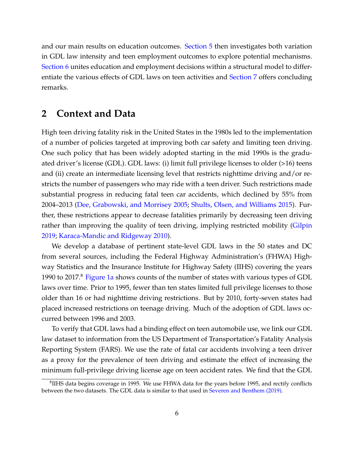and our main results on education outcomes. [Section 5](#page-19-0) then investigates both variation in GDL law intensity and teen employment outcomes to explore potential mechanisms. [Section 6](#page-24-0) unites education and employment decisions within a structural model to differentiate the various effects of GDL laws on teen activities and [Section 7](#page-32-0) offers concluding remarks.

# <span id="page-5-0"></span>**2 Context and Data**

High teen driving fatality risk in the United States in the 1980s led to the implementation of a number of policies targeted at improving both car safety and limiting teen driving. One such policy that has been widely adopted starting in the mid 1990s is the graduated driver's license (GDL). GDL laws: (i) limit full privilege licenses to older (>16) teens and (ii) create an intermediate licensing level that restricts nighttime driving and/or restricts the number of passengers who may ride with a teen driver. Such restrictions made substantial progress in reducing fatal teen car accidents, which declined by 55% from 2004–2013 [\(Dee, Grabowski, and Morrisey 2005;](#page-35-8) [Shults, Olsen, and Williams 2015\)](#page-37-0). Further, these restrictions appear to decrease fatalities primarily by decreasing teen driving rather than improving the quality of teen driving, implying restricted mobility [\(Gilpin](#page-35-9) [2019;](#page-35-9) [Karaca-Mandic and Ridgeway 2010\)](#page-36-6).

We develop a database of pertinent state-level GDL laws in the 50 states and DC from several sources, including the Federal Highway Administration's (FHWA) Highway Statistics and the Insurance Institute for Highway Safety (IIHS) covering the years 1990 to 2017.<sup>8</sup> [Figure 1a](#page-6-0) shows counts of the number of states with various types of GDL laws over time. Prior to 1995, fewer than ten states limited full privilege licenses to those older than 16 or had nighttime driving restrictions. But by 2010, forty-seven states had placed increased restrictions on teenage driving. Much of the adoption of GDL laws occurred between 1996 and 2003.

To verify that GDL laws had a binding effect on teen automobile use, we link our GDL law dataset to information from the US Department of Transportation's Fatality Analysis Reporting System (FARS). We use the rate of fatal car accidents involving a teen driver as a proxy for the prevalence of teen driving and estimate the effect of increasing the minimum full-privilege driving license age on teen accident rates. We find that the GDL

 ${}^{8}$ IIHS data begins coverage in 1995. We use FHWA data for the years before 1995, and rectify conflicts between the two datasets. The GDL data is similar to that used in [Severen and Benthem \(2019\).](#page-37-4)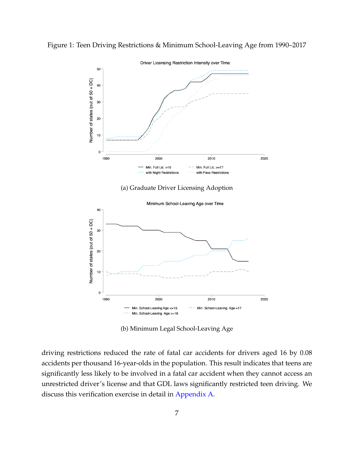<span id="page-6-0"></span>



(b) Minimum Legal School-Leaving Age

driving restrictions reduced the rate of fatal car accidents for drivers aged 16 by 0.08 accidents per thousand 16-year-olds in the population. This result indicates that teens are significantly less likely to be involved in a fatal car accident when they cannot access an unrestricted driver's license and that GDL laws significantly restricted teen driving. We discuss this verification exercise in detail in [Appendix A.](#page-38-0)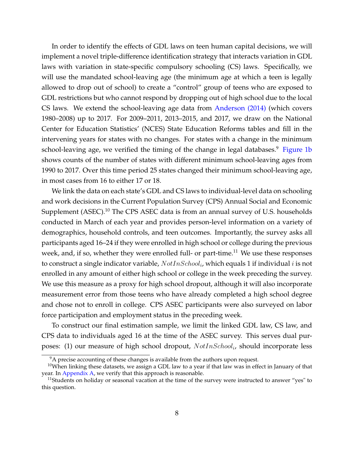In order to identify the effects of GDL laws on teen human capital decisions, we will implement a novel triple-difference identification strategy that interacts variation in GDL laws with variation in state-specific compulsory schooling (CS) laws. Specifically, we will use the mandated school-leaving age (the minimum age at which a teen is legally allowed to drop out of school) to create a "control" group of teens who are exposed to GDL restrictions but who cannot respond by dropping out of high school due to the local CS laws. We extend the school-leaving age data from [Anderson \(2014\)](#page-34-3) (which covers 1980–2008) up to 2017. For 2009–2011, 2013–2015, and 2017, we draw on the National Center for Education Statistics' (NCES) State Education Reforms tables and fill in the intervening years for states with no changes. For states with a change in the minimum school-leaving age, we verified the timing of the change in legal databases. $9$  [Figure 1b](#page-6-0) shows counts of the number of states with different minimum school-leaving ages from 1990 to 2017. Over this time period 25 states changed their minimum school-leaving age, in most cases from 16 to either 17 or 18.

We link the data on each state's GDL and CS laws to individual-level data on schooling and work decisions in the Current Population Survey (CPS) Annual Social and Economic Supplement (ASEC).<sup>10</sup> The CPS ASEC data is from an annual survey of U.S. households conducted in March of each year and provides person-level information on a variety of demographics, household controls, and teen outcomes. Importantly, the survey asks all participants aged 16–24 if they were enrolled in high school or college during the previous week, and, if so, whether they were enrolled full- or part-time.<sup>11</sup> We use these responses to construct a single indicator variable,  $NotIn School$  , which equals 1 if individual  $i$  is not enrolled in any amount of either high school or college in the week preceding the survey. We use this measure as a proxy for high school dropout, although it will also incorporate measurement error from those teens who have already completed a high school degree and chose not to enroll in college. CPS ASEC participants were also surveyed on labor force participation and employment status in the preceding week.

To construct our final estimation sample, we limit the linked GDL law, CS law, and CPS data to individuals aged 16 at the time of the ASEC survey. This serves dual purposes: (1) our measure of high school dropout,  $NotIn School_i$ , should incorporate less

 $9A$  precise accounting of these changes is available from the authors upon request.

 $10$ When linking these datasets, we assign a GDL law to a year if that law was in effect in January of that year. In [Appendix A,](#page-38-0) we verify that this approach is reasonable.

 $11$ Students on holiday or seasonal vacation at the time of the survey were instructed to answer "yes" to this question.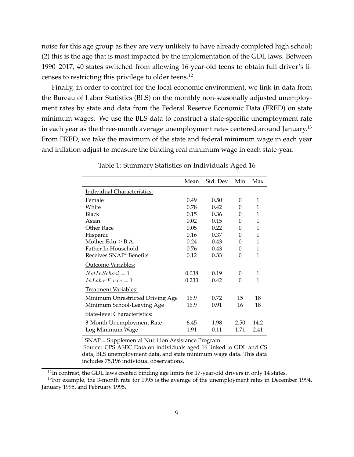noise for this age group as they are very unlikely to have already completed high school; (2) this is the age that is most impacted by the implementation of the GDL laws. Between 1990–2017, 40 states switched from allowing 16-year-old teens to obtain full driver's licenses to restricting this privilege to older teens.<sup>12</sup>

Finally, in order to control for the local economic environment, we link in data from the Bureau of Labor Statistics (BLS) on the monthly non-seasonally adjusted unemployment rates by state and data from the Federal Reserve Economic Data (FRED) on state minimum wages. We use the BLS data to construct a state-specific unemployment rate in each year as the three-month average unemployment rates centered around January.<sup>13</sup> From FRED, we take the maximum of the state and federal minimum wage in each year and inflation-adjust to measure the binding real minimum wage in each state-year.

<span id="page-8-0"></span>

|                                     | Mean  | Std. Dev | Min  | Max  |
|-------------------------------------|-------|----------|------|------|
| Individual Characteristics:         |       |          |      |      |
| Female                              | 0.49  | 0.50     | 0    | 1    |
| White                               | 0.78  | 0.42     | 0    | 1    |
| Black                               | 0.15  | 0.36     | 0    | 1    |
| Asian                               | 0.02  | 0.15     | 0    | 1    |
| Other Race                          | 0.05  | 0.22     | 0    | 1    |
| Hispanic                            | 0.16  | 0.37     | 0    | 1    |
| Mother Edu $\geq$ B.A.              | 0.24  | 0.43     | 0    | 1    |
| Father In Household                 | 0.76  | 0.43     | 0    | 1    |
| Receives SNAP <sup>*</sup> Benefits | 0.12  | 0.33     | 0    | 1    |
| <b>Outcome Variables:</b>           |       |          |      |      |
| $NotIn School = 1$                  | 0.038 | 0.19     | 0    | 1    |
| $In LaborForce = 1$                 | 0.233 | 0.42     | 0    | 1    |
| Treatment Variables:                |       |          |      |      |
| Minimum Unrestricted Driving Age    | 16.9  | 0.72     | 15   | 18   |
| Minimum School-Leaving Age          | 16.9  | 0.91     | 16   | 18   |
| State-level Characteristics:        |       |          |      |      |
| 3-Month Unemployment Rate           | 6.45  | 1.98     | 2.50 | 14.2 |
| Log Minimum Wage                    | 1.91  | 0.11     | 1.71 | 2.41 |

Table 1: Summary Statistics on Individuals Aged 16

\* SNAP = Supplemental Nutrition Assistance Program

Source: CPS ASEC Data on individuals aged 16 linked to GDL and CS data, BLS unemployment data, and state minimum wage data. This data includes 75,196 individual observations.

 $12$ In contrast, the GDL laws created binding age limits for 17-year-old drivers in only 14 states.

<sup>&</sup>lt;sup>13</sup>For example, the 3-month rate for 1995 is the average of the unemployment rates in December 1994, January 1995, and February 1995.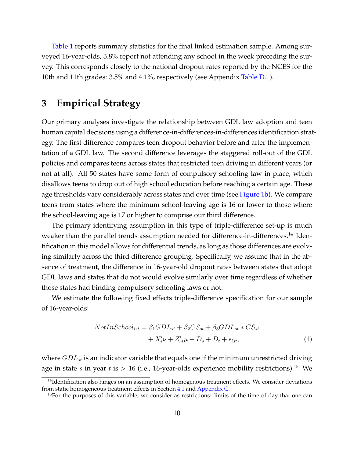[Table 1](#page-8-0) reports summary statistics for the final linked estimation sample. Among surveyed 16-year-olds, 3.8% report not attending any school in the week preceding the survey. This corresponds closely to the national dropout rates reported by the NCES for the 10th and 11th grades: 3.5% and 4.1%, respectively (see Appendix [Table D.1\)](#page-48-0).

# <span id="page-9-0"></span>**3 Empirical Strategy**

Our primary analyses investigate the relationship between GDL law adoption and teen human capital decisions using a difference-in-differences-in-differences identification strategy. The first difference compares teen dropout behavior before and after the implementation of a GDL law. The second difference leverages the staggered roll-out of the GDL policies and compares teens across states that restricted teen driving in different years (or not at all). All 50 states have some form of compulsory schooling law in place, which disallows teens to drop out of high school education before reaching a certain age. These age thresholds vary considerably across states and over time (see [Figure 1b\)](#page-6-0). We compare teens from states where the minimum school-leaving age is 16 or lower to those where the school-leaving age is 17 or higher to comprise our third difference.

The primary identifying assumption in this type of triple-difference set-up is much weaker than the parallel trends assumption needed for difference-in-differences.<sup>14</sup> Identification in this model allows for differential trends, as long as those differences are evolving similarly across the third difference grouping. Specifically, we assume that in the absence of treatment, the difference in 16-year-old dropout rates between states that adopt GDL laws and states that do not would evolve similarly over time regardless of whether those states had binding compulsory schooling laws or not.

We estimate the following fixed effects triple-difference specification for our sample of 16-year-olds:

<span id="page-9-1"></span>
$$
NotIn School_{ist} = \beta_1 GDL_{st} + \beta_2 CS_{st} + \beta_3 GDL_{st} * CS_{st}
$$

$$
+ X_i' \nu + Z_{st}' \mu + D_s + D_t + \epsilon_{ist}, \tag{1}
$$

where  $GDL_{st}$  is an indicator variable that equals one if the minimum unrestricted driving age in state s in year t is  $> 16$  (i.e., 16-year-olds experience mobility restrictions).<sup>15</sup> We

 $<sup>14</sup>$ Identification also hinges on an assumption of homogenous treatment effects. We consider deviations</sup> from static homogeneous treatment effects in Section [4.1](#page-13-0) and [Appendix C.](#page-42-0)

<sup>&</sup>lt;sup>15</sup>For the purposes of this variable, we consider as restrictions: limits of the time of day that one can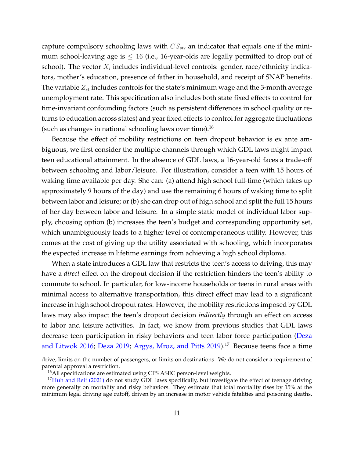capture compulsory schooling laws with  $CS_{st}$ , an indicator that equals one if the minimum school-leaving age is  $\leq 16$  (i.e., 16-year-olds are legally permitted to drop out of school). The vector  $X_i$  includes individual-level controls: gender, race/ethnicity indicators, mother's education, presence of father in household, and receipt of SNAP benefits. The variable  $Z_{st}$  includes controls for the state's minimum wage and the 3-month average unemployment rate. This specification also includes both state fixed effects to control for time-invariant confounding factors (such as persistent differences in school quality or returns to education across states) and year fixed effects to control for aggregate fluctuations (such as changes in national schooling laws over time).<sup>16</sup>

Because the effect of mobility restrictions on teen dropout behavior is ex ante ambiguous, we first consider the multiple channels through which GDL laws might impact teen educational attainment. In the absence of GDL laws, a 16-year-old faces a trade-off between schooling and labor/leisure. For illustration, consider a teen with 15 hours of waking time available per day. She can: (a) attend high school full-time (which takes up approximately 9 hours of the day) and use the remaining 6 hours of waking time to split between labor and leisure; or (b) she can drop out of high school and split the full 15 hours of her day between labor and leisure. In a simple static model of individual labor supply, choosing option (b) increases the teen's budget and corresponding opportunity set, which unambiguously leads to a higher level of contemporaneous utility. However, this comes at the cost of giving up the utility associated with schooling, which incorporates the expected increase in lifetime earnings from achieving a high school diploma.

When a state introduces a GDL law that restricts the teen's access to driving, this may have a *direct* effect on the dropout decision if the restriction hinders the teen's ability to commute to school. In particular, for low-income households or teens in rural areas with minimal access to alternative transportation, this direct effect may lead to a significant increase in high school dropout rates. However, the mobility restrictions imposed by GDL laws may also impact the teen's dropout decision *indirectly* through an effect on access to labor and leisure activities. In fact, we know from previous studies that GDL laws decrease teen participation in risky behaviors and teen labor force participation [\(Deza](#page-35-1) [and Litwok 2016;](#page-35-1) [Deza 2019;](#page-35-2) [Argys, Mroz, and Pitts 2019\)](#page-34-4).<sup>17</sup> Because teens face a time

drive, limits on the number of passengers, or limits on destinations. We do not consider a requirement of parental approval a restriction.

<sup>&</sup>lt;sup>16</sup>All specifications are estimated using CPS ASEC person-level weights.

<sup>&</sup>lt;sup>17</sup>[Huh and Reif \(2021\)](#page-36-7) do not study GDL laws specifically, but investigate the effect of teenage driving more generally on mortality and risky behaviors. They estimate that total mortality rises by 15% at the minimum legal driving age cutoff, driven by an increase in motor vehicle fatalities and poisoning deaths,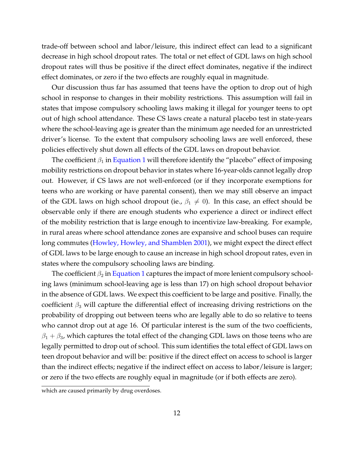trade-off between school and labor/leisure, this indirect effect can lead to a significant decrease in high school dropout rates. The total or net effect of GDL laws on high school dropout rates will thus be positive if the direct effect dominates, negative if the indirect effect dominates, or zero if the two effects are roughly equal in magnitude.

Our discussion thus far has assumed that teens have the option to drop out of high school in response to changes in their mobility restrictions. This assumption will fail in states that impose compulsory schooling laws making it illegal for younger teens to opt out of high school attendance. These CS laws create a natural placebo test in state-years where the school-leaving age is greater than the minimum age needed for an unrestricted driver's license. To the extent that compulsory schooling laws are well enforced, these policies effectively shut down all effects of the GDL laws on dropout behavior.

The coefficient  $\beta_1$  in [Equation 1](#page-9-1) will therefore identify the "placebo" effect of imposing mobility restrictions on dropout behavior in states where 16-year-olds cannot legally drop out. However, if CS laws are not well-enforced (or if they incorporate exemptions for teens who are working or have parental consent), then we may still observe an impact of the GDL laws on high school dropout (ie.,  $\beta_1 \neq 0$ ). In this case, an effect should be observable only if there are enough students who experience a direct or indirect effect of the mobility restriction that is large enough to incentivize law-breaking. For example, in rural areas where school attendance zones are expansive and school buses can require long commutes [\(Howley, Howley, and Shamblen 2001\)](#page-36-8), we might expect the direct effect of GDL laws to be large enough to cause an increase in high school dropout rates, even in states where the compulsory schooling laws are binding.

The coefficient  $\beta_2$  in [Equation 1](#page-9-1) captures the impact of more lenient compulsory schooling laws (minimum school-leaving age is less than 17) on high school dropout behavior in the absence of GDL laws. We expect this coefficient to be large and positive. Finally, the coefficient  $\beta_3$  will capture the differential effect of increasing driving restrictions on the probability of dropping out between teens who are legally able to do so relative to teens who cannot drop out at age 16. Of particular interest is the sum of the two coefficients,  $\beta_1 + \beta_3$ , which captures the total effect of the changing GDL laws on those teens who are legally permitted to drop out of school. This sum identifies the total effect of GDL laws on teen dropout behavior and will be: positive if the direct effect on access to school is larger than the indirect effects; negative if the indirect effect on access to labor/leisure is larger; or zero if the two effects are roughly equal in magnitude (or if both effects are zero).

which are caused primarily by drug overdoses.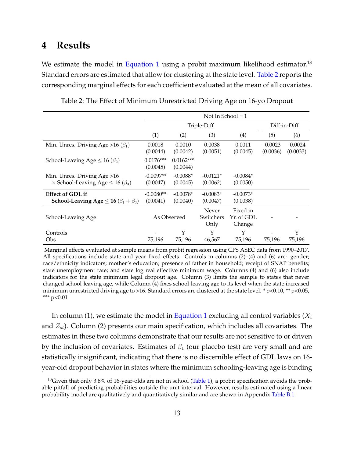# <span id="page-12-0"></span>**4 Results**

We estimate the model in [Equation 1](#page-9-1) using a probit maximum likelihood estimator.<sup>18</sup> Standard errors are estimated that allow for clustering at the state level. [Table 2](#page-12-1) reports the corresponding marginal effects for each coefficient evaluated at the mean of all covariates.

<span id="page-12-1"></span>

|                                                                                     | Not In School = $1$     |                         |                            |                                  |                       |                       |  |
|-------------------------------------------------------------------------------------|-------------------------|-------------------------|----------------------------|----------------------------------|-----------------------|-----------------------|--|
|                                                                                     |                         | Triple-Diff             |                            | Diff-in-Diff                     |                       |                       |  |
|                                                                                     | (1)                     | (2)                     | (3)                        | (4)                              | (5)                   | (6)                   |  |
| Min. Unres. Driving Age > 16 ( $\beta_1$ )                                          | 0.0018<br>(0.0044)      | 0.0010<br>(0.0042)      | 0.0038<br>(0.0051)         | 0.0011<br>(0.0045)               | $-0.0023$<br>(0.0036) | $-0.0024$<br>(0.0033) |  |
| School-Leaving Age $\leq 16 \left(\beta_2\right)$                                   | $0.0176***$<br>(0.0045) | $0.0162***$<br>(0.0044) |                            |                                  |                       |                       |  |
| Min. Unres. Driving Age > 16<br>$\times$ School-Leaving Age $\leq$ 16 ( $\beta_3$ ) | $-0.0097**$<br>(0.0047) | $-0.0088*$<br>(0.0045)  | $-0.0121*$<br>(0.0062)     | $-0.0084*$<br>(0.0050)           |                       |                       |  |
| <b>Effect of GDL if</b><br>School-Leaving Age $\leq$ 16 ( $\beta_1 + \beta_3$ )     | $-0.0080**$<br>(0.0041) | $-0.0078*$<br>(0.0040)  | $-0.0083*$<br>(0.0047)     | $-0.0073*$<br>(0.0038)           |                       |                       |  |
| School-Leaving Age                                                                  |                         | As Observed             | Never<br>Switchers<br>Only | Fixed in<br>Yr. of GDL<br>Change |                       |                       |  |
| Controls                                                                            |                         | Y                       | Υ                          | Y                                |                       | Y                     |  |
| Obs                                                                                 | 75,196                  | 75,196                  | 46,567                     | 75,196                           | 75,196                | 75,196                |  |

Table 2: The Effect of Minimum Unrestricted Driving Age on 16-yo Dropout

Marginal effects evaluated at sample means from probit regression using CPS ASEC data from 1990–2017. All specifications include state and year fixed effects. Controls in columns (2)–(4) and (6) are: gender; race/ethnicity indicators; mother's education; presence of father in household; receipt of SNAP benefits; state unemployment rate; and state log real effective minimum wage. Columns (4) and (6) also include indicators for the state minimum legal dropout age. Column (3) limits the sample to states that never changed school-leaving age, while Column (4) fixes school-leaving age to its level when the state increased minimum unrestricted driving age to >16. Standard errors are clustered at the state level. \*  $p<0.10$ , \*\*  $p<0.05$ , \*\*\* p<0.01

In column (1), we estimate the model in [Equation 1](#page-9-1) excluding all control variables  $(X_i)$ and  $Z_{st}$ ). Column (2) presents our main specification, which includes all covariates. The estimates in these two columns demonstrate that our results are not sensitive to or driven by the inclusion of covariates. Estimates of  $\beta_1$  (our placebo test) are very small and are statistically insignificant, indicating that there is no discernible effect of GDL laws on 16 year-old dropout behavior in states where the minimum schooling-leaving age is binding

 $18$ Given that only 3.8% of 16-year-olds are not in school [\(Table 1\)](#page-8-0), a probit specification avoids the probable pitfall of predicting probabilities outside the unit interval. However, results estimated using a linear probability model are qualitatively and quantitatively similar and are shown in Appendix [Table B.1.](#page-41-0)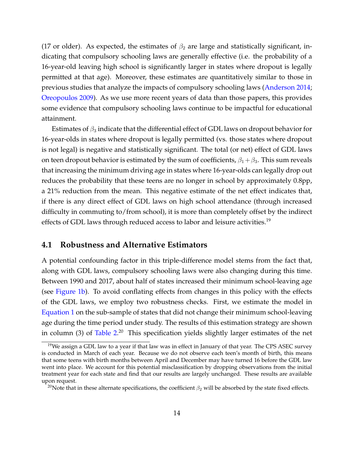(17 or older). As expected, the estimates of  $\beta_2$  are large and statistically significant, indicating that compulsory schooling laws are generally effective (i.e. the probability of a 16-year-old leaving high school is significantly larger in states where dropout is legally permitted at that age). Moreover, these estimates are quantitatively similar to those in previous studies that analyze the impacts of compulsory schooling laws [\(Anderson 2014;](#page-34-3) [Oreopoulos 2009\)](#page-37-5). As we use more recent years of data than those papers, this provides some evidence that compulsory schooling laws continue to be impactful for educational attainment.

Estimates of  $\beta_3$  indicate that the differential effect of GDL laws on dropout behavior for 16-year-olds in states where dropout is legally permitted (vs. those states where dropout is not legal) is negative and statistically significant. The total (or net) effect of GDL laws on teen dropout behavior is estimated by the sum of coefficients,  $\beta_1 + \beta_3$ . This sum reveals that increasing the minimum driving age in states where 16-year-olds can legally drop out reduces the probability that these teens are no longer in school by approximately 0.8pp, a 21% reduction from the mean. This negative estimate of the net effect indicates that, if there is any direct effect of GDL laws on high school attendance (through increased difficulty in commuting to/from school), it is more than completely offset by the indirect effects of GDL laws through reduced access to labor and leisure activities.<sup>19</sup>

### <span id="page-13-0"></span>**4.1 Robustness and Alternative Estimators**

A potential confounding factor in this triple-difference model stems from the fact that, along with GDL laws, compulsory schooling laws were also changing during this time. Between 1990 and 2017, about half of states increased their minimum school-leaving age (see [Figure 1b\)](#page-6-0). To avoid conflating effects from changes in this policy with the effects of the GDL laws, we employ two robustness checks. First, we estimate the model in [Equation 1](#page-9-1) on the sub-sample of states that did not change their minimum school-leaving age during the time period under study. The results of this estimation strategy are shown in column (3) of [Table 2.](#page-12-1)<sup>20</sup> This specification yields slightly larger estimates of the net

 $19$ We assign a GDL law to a year if that law was in effect in January of that year. The CPS ASEC survey is conducted in March of each year. Because we do not observe each teen's month of birth, this means that some teens with birth months between April and December may have turned 16 before the GDL law went into place. We account for this potential misclassification by dropping observations from the initial treatment year for each state and find that our results are largely unchanged. These results are available upon request.

<sup>&</sup>lt;sup>20</sup>Note that in these alternate specifications, the coefficient  $\beta_2$  will be absorbed by the state fixed effects.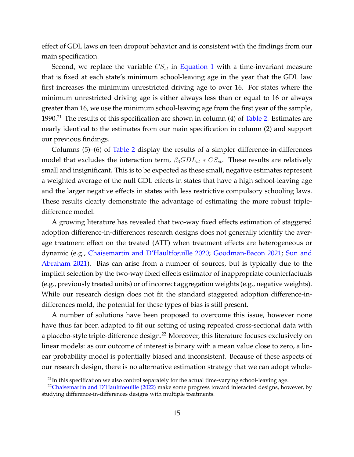effect of GDL laws on teen dropout behavior and is consistent with the findings from our main specification.

Second, we replace the variable  $CS_{st}$  in [Equation 1](#page-9-1) with a time-invariant measure that is fixed at each state's minimum school-leaving age in the year that the GDL law first increases the minimum unrestricted driving age to over 16. For states where the minimum unrestricted driving age is either always less than or equal to 16 or always greater than 16, we use the minimum school-leaving age from the first year of the sample, 1990.<sup>21</sup> The results of this specification are shown in column (4) of [Table 2.](#page-12-1) Estimates are nearly identical to the estimates from our main specification in column (2) and support our previous findings.

Columns (5)–(6) of [Table 2](#page-12-1) display the results of a simpler difference-in-differences model that excludes the interaction term,  $\beta_3 GDL_{st}$  \*  $CS_{st}$ . These results are relatively small and insignificant. This is to be expected as these small, negative estimates represent a weighted average of the null GDL effects in states that have a high school-leaving age and the larger negative effects in states with less restrictive compulsory schooling laws. These results clearly demonstrate the advantage of estimating the more robust tripledifference model.

A growing literature has revealed that two-way fixed effects estimation of staggered adoption difference-in-differences research designs does not generally identify the average treatment effect on the treated (ATT) when treatment effects are heterogeneous or dynamic (e.g., [Chaisemartin and D'Haultfœuille 2020;](#page-35-10) [Goodman-Bacon 2021;](#page-35-11) [Sun and](#page-37-6) [Abraham 2021\)](#page-37-6). Bias can arise from a number of sources, but is typically due to the implicit selection by the two-way fixed effects estimator of inappropriate counterfactuals (e.g., previously treated units) or of incorrect aggregation weights (e.g., negative weights). While our research design does not fit the standard staggered adoption difference-indifferences mold, the potential for these types of bias is still present.

A number of solutions have been proposed to overcome this issue, however none have thus far been adapted to fit our setting of using repeated cross-sectional data with a placebo-style triple-difference design.<sup>22</sup> Moreover, this literature focuses exclusively on linear models: as our outcome of interest is binary with a mean value close to zero, a linear probability model is potentially biased and inconsistent. Because of these aspects of our research design, there is no alternative estimation strategy that we can adopt whole-

 $^{21}$ In this specification we also control separately for the actual time-varying school-leaving age.

<sup>&</sup>lt;sup>22</sup>[Chaisemartin and D'Haultfoeuille \(2022\)](#page-34-6) make some progress toward interacted designs, however, by studying difference-in-differences designs with multiple treatments.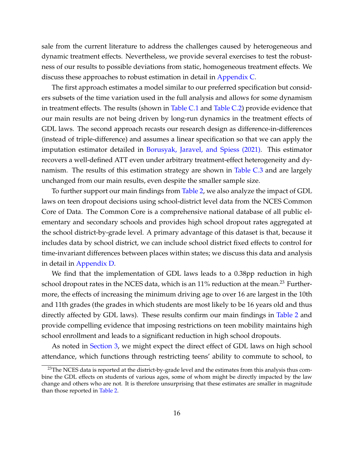sale from the current literature to address the challenges caused by heterogeneous and dynamic treatment effects. Nevertheless, we provide several exercises to test the robustness of our results to possible deviations from static, homogeneous treatment effects. We discuss these approaches to robust estimation in detail in [Appendix C.](#page-42-0)

The first approach estimates a model similar to our preferred specification but considers subsets of the time variation used in the full analysis and allows for some dynamism in treatment effects. The results (shown in [Table C.1](#page-43-0) and [Table C.2\)](#page-44-0) provide evidence that our main results are not being driven by long-run dynamics in the treatment effects of GDL laws. The second approach recasts our research design as difference-in-differences (instead of triple-difference) and assumes a linear specification so that we can apply the imputation estimator detailed in [Borusyak, Jaravel, and Spiess \(2021\).](#page-34-7) This estimator recovers a well-defined ATT even under arbitrary treatment-effect heterogeneity and dynamism. The results of this estimation strategy are shown in [Table C.3](#page-47-0) and are largely unchanged from our main results, even despite the smaller sample size.

To further support our main findings from [Table 2,](#page-12-1) we also analyze the impact of GDL laws on teen dropout decisions using school-district level data from the NCES Common Core of Data. The Common Core is a comprehensive national database of all public elementary and secondary schools and provides high school dropout rates aggregated at the school district-by-grade level. A primary advantage of this dataset is that, because it includes data by school district, we can include school district fixed effects to control for time-invariant differences between places within states; we discuss this data and analysis in detail in [Appendix D.](#page-47-1)

We find that the implementation of GDL laws leads to a 0.38pp reduction in high school dropout rates in the NCES data, which is an  $11\%$  reduction at the mean.<sup>23</sup> Furthermore, the effects of increasing the minimum driving age to over 16 are largest in the 10th and 11th grades (the grades in which students are most likely to be 16 years old and thus directly affected by GDL laws). These results confirm our main findings in [Table 2](#page-12-1) and provide compelling evidence that imposing restrictions on teen mobility maintains high school enrollment and leads to a significant reduction in high school dropouts.

As noted in [Section 3,](#page-9-0) we might expect the direct effect of GDL laws on high school attendance, which functions through restricting teens' ability to commute to school, to

 $^{23}$ The NCES data is reported at the district-by-grade level and the estimates from this analysis thus combine the GDL effects on students of various ages, some of whom might be directly impacted by the law change and others who are not. It is therefore unsurprising that these estimates are smaller in magnitude than those reported in [Table 2.](#page-12-1)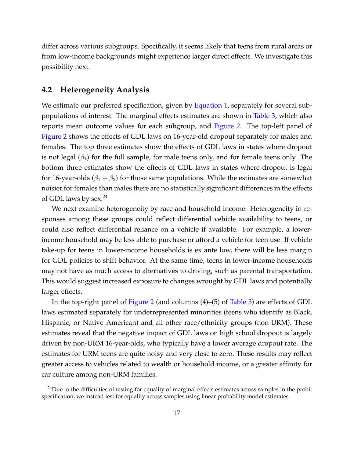differ across various subgroups. Specifically, it seems likely that teens from rural areas or from low-income backgrounds might experience larger direct effects. We investigate this possibility next.

### **4.2 Heterogeneity Analysis**

We estimate our preferred specification, given by [Equation 1,](#page-9-1) separately for several subpopulations of interest. The marginal effects estimates are shown in [Table 3,](#page-18-0) which also reports mean outcome values for each subgroup, and [Figure 2.](#page-17-0) The top-left panel of [Figure 2](#page-17-0) shows the effects of GDL laws on 16-year-old dropout separately for males and females. The top three estimates show the effects of GDL laws in states where dropout is not legal  $(\beta_1)$  for the full sample, for male teens only, and for female teens only. The bottom three estimates show the effects of GDL laws in states where dropout is legal for 16-year-olds ( $\beta_1 + \beta_3$ ) for those same populations. While the estimates are somewhat noisier for females than males there are no statistically significant differences in the effects of GDL laws by sex. $^{24}$ 

We next examine heterogeneity by race and household income. Heterogeneity in responses among these groups could reflect differential vehicle availability to teens, or could also reflect differential reliance on a vehicle if available. For example, a lowerincome household may be less able to purchase or afford a vehicle for teen use. If vehicle take-up for teens in lower-income households is ex ante low, there will be less margin for GDL policies to shift behavior. At the same time, teens in lower-income households may not have as much access to alternatives to driving, such as parental transportation. This would suggest increased exposure to changes wrought by GDL laws and potentially larger effects.

In the top-right panel of [Figure 2](#page-17-0) (and columns (4)–(5) of [Table 3\)](#page-18-0) are effects of GDL laws estimated separately for underrepresented minorities (teens who identify as Black, Hispanic, or Native American) and all other race/ethnicity groups (non-URM). These estimates reveal that the negative impact of GDL laws on high school dropout is largely driven by non-URM 16-year-olds, who typically have a lower average dropout rate. The estimates for URM teens are quite noisy and very close to zero. These results may reflect greater access to vehicles related to wealth or household income, or a greater affinity for car culture among non-URM families.

 $24$ Due to the difficulties of testing for equality of marginal effects estimates across samples in the probit specification, we instead test for equality across samples using linear probability model estimates.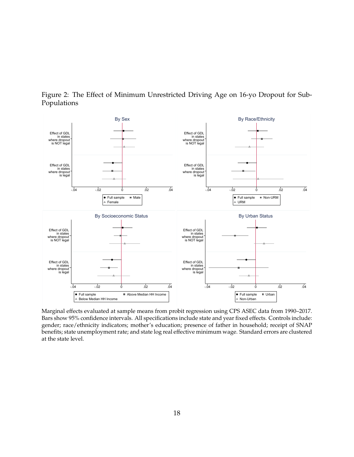<span id="page-17-0"></span>Figure 2: The Effect of Minimum Unrestricted Driving Age on 16-yo Dropout for Sub-Populations



Marginal effects evaluated at sample means from probit regression using CPS ASEC data from 1990–2017. Bars show 95% confidence intervals. All specifications include state and year fixed effects. Controls include: gender; race/ethnicity indicators; mother's education; presence of father in household; receipt of SNAP benefits; state unemployment rate; and state log real effective minimum wage. Standard errors are clustered at the state level.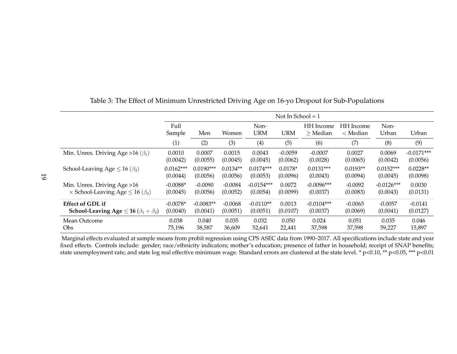|                                                      | Not In School = $1$ |             |            |                                           |           |                         |                         |               |              |
|------------------------------------------------------|---------------------|-------------|------------|-------------------------------------------|-----------|-------------------------|-------------------------|---------------|--------------|
|                                                      | Full<br>Sample      | Men         |            | Non-<br><b>URM</b><br><b>URM</b><br>Women |           | HH Income<br>$>$ Median | HH Income<br>$<$ Median | Non-<br>Urban | Urban        |
|                                                      | (1)                 | (2)         | (3)        | (4)                                       | (5)       | (6)                     | (7)                     | (8)           | (9)          |
| Min. Unres. Driving Age > 16 ( $\beta_1$ )           | 0.0010              | 0.0007      | 0.0015     | 0.0043                                    | $-0.0059$ | $-0.0007$               | 0.0027                  | 0.0069        | $-0.0171***$ |
|                                                      | (0.0042)            | (0.0055)    | (0.0045)   | (0.0045)                                  | (0.0062)  | (0.0028)                | (0.0065)                | (0.0042)      | (0.0056)     |
| School-Leaving Age $\leq 16 \; (\beta_2)$            | $0.0162***$         | $0.0190***$ | $0.0134**$ | $0.0174***$                               | $0.0178*$ | $0.0131***$             | $0.0193**$              | $0.0152***$   | $0.0228**$   |
|                                                      | (0.0044)            | (0.0056)    | (0.0056)   | (0.0053)                                  | (0.0096)  | (0.0043)                | (0.0094)                | (0.0045)      | (0.0098)     |
| Min. Unres. Driving Age > 16                         | $-0.0088*$          | $-0.0090$   | $-0.0084$  | $-0.0154***$                              | 0.0072    | $-0.0096***$            | $-0.0092$               | $-0.0126***$  | 0.0030       |
| $\times$ School-Leaving Age $\leq$ 16 ( $\beta_3$ )  | (0.0045)            | (0.0056)    | (0.0052)   | (0.0054)                                  | (0.0099)  | (0.0037)                | (0.0083)                | (0.0043)      | (0.0131)     |
| <b>Effect of GDL if</b>                              | $-0.0078*$          | $-0.0083**$ | $-0.0068$  | $-0.0110**$                               | 0.0013    | $-0.0104***$            | $-0.0065$               | $-0.0057$     | $-0.0141$    |
| School-Leaving Age $\leq$ 16 ( $\beta_1 + \beta_3$ ) | (0.0040)            | (0.0041)    | (0.0051)   | (0.0051)                                  | (0.0107)  | (0.0037)                | (0.0069)                | (0.0041)      | (0.0127)     |
| Mean Outcome                                         | 0.038               | 0.040       | 0.035      | 0.032                                     | 0.050     | 0.024                   | 0.051                   | 0.035         | 0.046        |
| <b>Obs</b>                                           | 75,196              | 38,587      | 36,609     | 52,641                                    | 22,441    | 37,598                  | 37,598                  | 59,227        | 15,897       |

<span id="page-18-0"></span>Table 3: The Effect of Minimum Unrestricted Driving Age on 16-yo Dropout for Sub-Populations

Marginal effects evaluated at sample means from probit regression using CPS ASEC data from 1990–2017. All specifications include state and year fixed effects. Controls include: gender; race/ethnicity indicators; mother's education; presence of father in household; receipt of SNAP benefits;state unemployment rate; and state log real effective minimum wage. Standard errors are clustered at the state level. \* p<0.10, \*\* p<0.05, \*\*\* p<0.01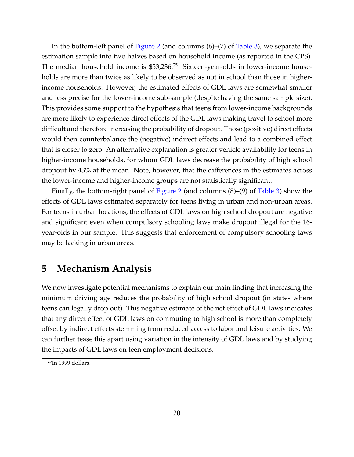In the bottom-left panel of [Figure 2](#page-17-0) (and columns (6)–(7) of [Table 3\)](#page-18-0), we separate the estimation sample into two halves based on household income (as reported in the CPS). The median household income is  $$53,236<sup>25</sup>$  Sixteen-year-olds in lower-income households are more than twice as likely to be observed as not in school than those in higherincome households. However, the estimated effects of GDL laws are somewhat smaller and less precise for the lower-income sub-sample (despite having the same sample size). This provides some support to the hypothesis that teens from lower-income backgrounds are more likely to experience direct effects of the GDL laws making travel to school more difficult and therefore increasing the probability of dropout. Those (positive) direct effects would then counterbalance the (negative) indirect effects and lead to a combined effect that is closer to zero. An alternative explanation is greater vehicle availability for teens in higher-income households, for whom GDL laws decrease the probability of high school dropout by 43% at the mean. Note, however, that the differences in the estimates across the lower-income and higher-income groups are not statistically significant.

Finally, the bottom-right panel of [Figure 2](#page-17-0) (and columns (8)–(9) of [Table 3\)](#page-18-0) show the effects of GDL laws estimated separately for teens living in urban and non-urban areas. For teens in urban locations, the effects of GDL laws on high school dropout are negative and significant even when compulsory schooling laws make dropout illegal for the 16 year-olds in our sample. This suggests that enforcement of compulsory schooling laws may be lacking in urban areas.

## <span id="page-19-0"></span>**5 Mechanism Analysis**

We now investigate potential mechanisms to explain our main finding that increasing the minimum driving age reduces the probability of high school dropout (in states where teens can legally drop out). This negative estimate of the net effect of GDL laws indicates that any direct effect of GDL laws on commuting to high school is more than completely offset by indirect effects stemming from reduced access to labor and leisure activities. We can further tease this apart using variation in the intensity of GDL laws and by studying the impacts of GDL laws on teen employment decisions.

 $25$ In 1999 dollars.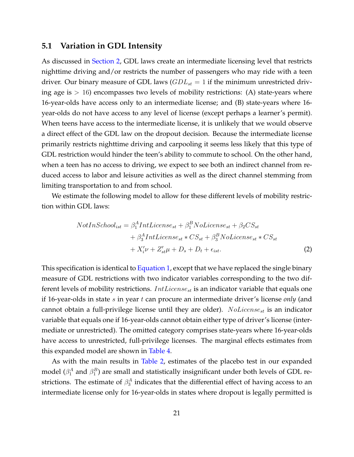### **5.1 Variation in GDL Intensity**

As discussed in [Section 2,](#page-5-0) GDL laws create an intermediate licensing level that restricts nighttime driving and/or restricts the number of passengers who may ride with a teen driver. Our binary measure of GDL laws  $(GDL<sub>st</sub> = 1$  if the minimum unrestricted driving age is  $> 16$ ) encompasses two levels of mobility restrictions: (A) state-years where 16-year-olds have access only to an intermediate license; and (B) state-years where 16 year-olds do not have access to any level of license (except perhaps a learner's permit). When teens have access to the intermediate license, it is unlikely that we would observe a direct effect of the GDL law on the dropout decision. Because the intermediate license primarily restricts nighttime driving and carpooling it seems less likely that this type of GDL restriction would hinder the teen's ability to commute to school. On the other hand, when a teen has no access to driving, we expect to see both an indirect channel from reduced access to labor and leisure activities as well as the direct channel stemming from limiting transportation to and from school.

We estimate the following model to allow for these different levels of mobility restriction within GDL laws:

$$
NotIn School_{ist} = \beta_1^A Int License_{st} + \beta_1^B No License_{st} + \beta_2 CS_{st}
$$

$$
+ \beta_3^A Int License_{st} * CS_{st} + \beta_3^B No License_{st} * CS_{st}
$$

$$
+ X_i' \nu + Z_{st}' \mu + D_s + D_t + \epsilon_{ist}.
$$

$$
(2)
$$

This specification is identical to [Equation 1,](#page-9-1) except that we have replaced the single binary measure of GDL restrictions with two indicator variables corresponding to the two different levels of mobility restrictions. *IntLicense<sub>st</sub>* is an indicator variable that equals one if 16-year-olds in state s in year t can procure an intermediate driver's license *only* (and cannot obtain a full-privilege license until they are older).  $No License_{st}$  is an indicator variable that equals one if 16-year-olds cannot obtain either type of driver's license (intermediate or unrestricted). The omitted category comprises state-years where 16-year-olds have access to unrestricted, full-privilege licenses. The marginal effects estimates from this expanded model are shown in [Table 4.](#page-21-0)

As with the main results in [Table 2,](#page-12-1) estimates of the placebo test in our expanded model  $(\beta_1^A$  and  $\beta_1^B$ ) are small and statistically insignificant under both levels of GDL restrictions. The estimate of  $\beta_3^A$  indicates that the differential effect of having access to an intermediate license only for 16-year-olds in states where dropout is legally permitted is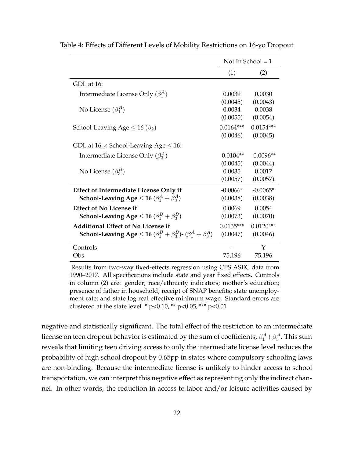|                                                                                                                                                  |                                | Not In School = $1$            |
|--------------------------------------------------------------------------------------------------------------------------------------------------|--------------------------------|--------------------------------|
|                                                                                                                                                  | (1)                            | (2)                            |
| GDL at 16:                                                                                                                                       |                                |                                |
| Intermediate License Only $(\beta_1^A)$                                                                                                          | 0.0039                         | 0.0030                         |
| No License $(\beta_1^B)$                                                                                                                         | (0.0045)<br>0.0034<br>(0.0055) | (0.0043)<br>0.0038<br>(0.0054) |
| School-Leaving Age $\leq 16 \; (\beta_2)$                                                                                                        | $0.0164***$<br>(0.0046)        | $0.0154***$<br>(0.0045)        |
| GDL at $16 \times$ School-Leaving Age $\leq 16$ :                                                                                                |                                |                                |
| Intermediate License Only $(\beta_3^A)$                                                                                                          | $-0.0104**$                    | $-0.0096**$                    |
| No License $(\beta_3^B)$                                                                                                                         | (0.0045)<br>0.0035<br>(0.0057) | (0.0044)<br>0.0017<br>(0.0057) |
| <b>Effect of Intermediate License Only if</b>                                                                                                    | $-0.0066*$                     | $-0.0065*$                     |
| School-Leaving Age $\leq$ 16 ( $\beta_1^A + \beta_3^A$ )                                                                                         | (0.0038)                       | (0.0038)                       |
| <b>Effect of No License if</b>                                                                                                                   | 0.0069                         | 0.0054                         |
| School-Leaving Age $\leq$ 16 ( $\beta_1^B + \beta_3^B$ )                                                                                         | (0.0073)                       | (0.0070)                       |
| <b>Additional Effect of No License if</b><br><b>School-Leaving Age</b> $\leq$ <b>16</b> ( $\beta_1^B + \beta_3^B$ )- ( $\beta_1^A + \beta_3^A$ ) | $0.0135***$<br>(0.0047)        | $0.0120***$<br>(0.0046)        |
| Controls<br>Obs                                                                                                                                  | 75,196                         | Y<br>75,196                    |

<span id="page-21-0"></span>Table 4: Effects of Different Levels of Mobility Restrictions on 16-yo Dropout

Results from two-way fixed-effects regression using CPS ASEC data from 1990–2017. All specifications include state and year fixed effects. Controls in column (2) are: gender; race/ethnicity indicators; mother's education; presence of father in household; receipt of SNAP benefits; state unemployment rate; and state log real effective minimum wage. Standard errors are clustered at the state level. \*  $p<0.10$ , \*\*  $p<0.05$ , \*\*\*  $p<0.01$ 

negative and statistically significant. The total effect of the restriction to an intermediate license on teen dropout behavior is estimated by the sum of coefficients,  $\beta_1^A+\beta_3^A.$  This sum reveals that limiting teen driving access to only the intermediate license level reduces the probability of high school dropout by 0.65pp in states where compulsory schooling laws are non-binding. Because the intermediate license is unlikely to hinder access to school transportation, we can interpret this negative effect as representing only the indirect channel. In other words, the reduction in access to labor and/or leisure activities caused by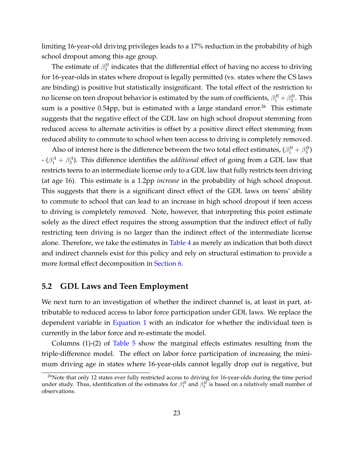limiting 16-year-old driving privileges leads to a 17% reduction in the probability of high school dropout among this age group.

The estimate of  $\beta_3^B$  indicates that the differential effect of having no access to driving for 16-year-olds in states where dropout is legally permitted (vs. states where the CS laws are binding) is positive but statistically insignificant. The total effect of the restriction to no license on teen dropout behavior is estimated by the sum of coefficients,  $\beta^B_1+\beta^B_3.$  This sum is a positive 0.54pp, but is estimated with a large standard error.<sup>26</sup> This estimate suggests that the negative effect of the GDL law on high school dropout stemming from reduced access to alternate activities is offset by a positive direct effect stemming from reduced ability to commute to school when teen access to driving is completely removed.

Also of interest here is the difference between the two total effect estimates,  $(\beta_1^B + \beta_3^B)$  $-$  ( $\beta_1^A + \beta_3^A$ ). This difference identifies the *additional* effect of going from a GDL law that restricts teens to an intermediate license only to a GDL law that fully restricts teen driving (at age 16). This estimate is a 1.2pp *increase* in the probability of high school dropout. This suggests that there is a significant direct effect of the GDL laws on teens' ability to commute to school that can lead to an increase in high school dropout if teen access to driving is completely removed. Note, however, that interpreting this point estimate solely as the direct effect requires the strong assumption that the indirect effect of fully restricting teen driving is no larger than the indirect effect of the intermediate license alone. Therefore, we take the estimates in [Table 4](#page-21-0) as merely an indication that both direct and indirect channels exist for this policy and rely on structural estimation to provide a more formal effect decomposition in [Section 6.](#page-24-0)

### **5.2 GDL Laws and Teen Employment**

We next turn to an investigation of whether the indirect channel is, at least in part, attributable to reduced access to labor force participation under GDL laws. We replace the dependent variable in [Equation 1](#page-9-1) with an indicator for whether the individual teen is currently in the labor force and re-estimate the model.

Columns (1)-(2) of [Table 5](#page-23-0) show the marginal effects estimates resulting from the triple-difference model. The effect on labor force participation of increasing the minimum driving age in states where 16-year-olds cannot legally drop out is negative, but

 $26$ Note that only 12 states ever fully restricted access to driving for 16-year-olds during the time period under study. Thus, identification of the estimates for  $\beta_1^B$  and  $\beta_3^B$  is based on a relatively small number of observations.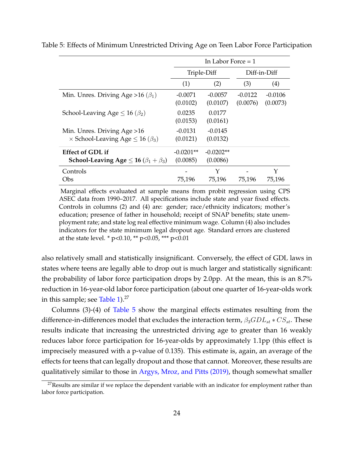|                                                                                     |                         | In Labor Force $=1$     |                       |                       |  |  |
|-------------------------------------------------------------------------------------|-------------------------|-------------------------|-----------------------|-----------------------|--|--|
|                                                                                     |                         | Triple-Diff             |                       | Diff-in-Diff          |  |  |
|                                                                                     | (1)                     | (2)                     | (3)                   | (4)                   |  |  |
| Min. Unres. Driving Age > 16 ( $\beta_1$ )                                          | $-0.0071$<br>(0.0102)   | $-0.0057$<br>(0.0107)   | $-0.0122$<br>(0.0076) | $-0.0106$<br>(0.0073) |  |  |
| School-Leaving Age $\leq 16 \, (\beta_2)$                                           | 0.0235<br>(0.0153)      | 0.0177<br>(0.0161)      |                       |                       |  |  |
| Min. Unres. Driving Age > 16<br>$\times$ School-Leaving Age $\leq$ 16 ( $\beta_3$ ) | $-0.0131$<br>(0.0121)   | $-0.0145$<br>(0.0132)   |                       |                       |  |  |
| <b>Effect of GDL if</b><br>School-Leaving Age $\leq$ 16 ( $\beta_1 + \beta_3$ )     | $-0.0201**$<br>(0.0085) | $-0.0202**$<br>(0.0086) |                       |                       |  |  |
| Controls<br>Obs                                                                     | 75,196                  | Y<br>75,196             | 75,196                | Y<br>75,196           |  |  |

<span id="page-23-0"></span>Table 5: Effects of Minimum Unrestricted Driving Age on Teen Labor Force Participation

Marginal effects evaluated at sample means from probit regression using CPS ASEC data from 1990–2017. All specifications include state and year fixed effects. Controls in columns (2) and (4) are: gender; race/ethnicity indicators; mother's education; presence of father in household; receipt of SNAP benefits; state unemployment rate; and state log real effective minimum wage. Column (4) also includes indicators for the state minimum legal dropout age. Standard errors are clustered at the state level. \*  $p<0.10$ , \*\*  $p<0.05$ , \*\*\*  $p<0.01$ 

also relatively small and statistically insignificant. Conversely, the effect of GDL laws in states where teens are legally able to drop out is much larger and statistically significant: the probability of labor force participation drops by 2.0pp. At the mean, this is an 8.7% reduction in 16-year-old labor force participation (about one quarter of 16-year-olds work in this sample; see Table  $1$ ).<sup>27</sup>

Columns (3)-(4) of [Table 5](#page-23-0) show the marginal effects estimates resulting from the difference-in-differences model that excludes the interaction term,  $\beta_3 GDL_{st}$  \*  $CS_{st}$ . These results indicate that increasing the unrestricted driving age to greater than 16 weakly reduces labor force participation for 16-year-olds by approximately 1.1pp (this effect is imprecisely measured with a p-value of 0.135). This estimate is, again, an average of the effects for teens that can legally dropout and those that cannot. Moreover, these results are qualitatively similar to those in [Argys, Mroz, and Pitts \(2019\),](#page-34-4) though somewhat smaller

 $27$ Results are similar if we replace the dependent variable with an indicator for employment rather than labor force participation.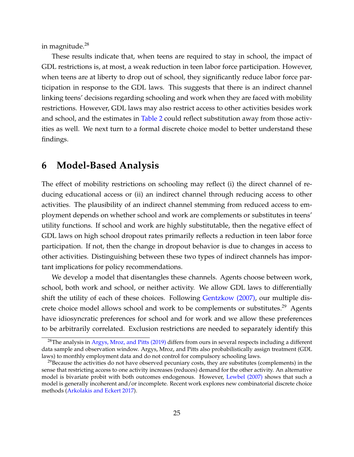in magnitude.<sup>28</sup>

These results indicate that, when teens are required to stay in school, the impact of GDL restrictions is, at most, a weak reduction in teen labor force participation. However, when teens are at liberty to drop out of school, they significantly reduce labor force participation in response to the GDL laws. This suggests that there is an indirect channel linking teens' decisions regarding schooling and work when they are faced with mobility restrictions. However, GDL laws may also restrict access to other activities besides work and school, and the estimates in [Table 2](#page-12-1) could reflect substitution away from those activities as well. We next turn to a formal discrete choice model to better understand these findings.

### <span id="page-24-0"></span>**6 Model-Based Analysis**

The effect of mobility restrictions on schooling may reflect (i) the direct channel of reducing educational access or (ii) an indirect channel through reducing access to other activities. The plausibility of an indirect channel stemming from reduced access to employment depends on whether school and work are complements or substitutes in teens' utility functions. If school and work are highly substitutable, then the negative effect of GDL laws on high school dropout rates primarily reflects a reduction in teen labor force participation. If not, then the change in dropout behavior is due to changes in access to other activities. Distinguishing between these two types of indirect channels has important implications for policy recommendations.

We develop a model that disentangles these channels. Agents choose between work, school, both work and school, or neither activity. We allow GDL laws to differentially shift the utility of each of these choices. Following [Gentzkow \(2007\),](#page-35-6) our multiple discrete choice model allows school and work to be complements or substitutes.<sup>29</sup> Agents have idiosyncratic preferences for school and for work and we allow these preferences to be arbitrarily correlated. Exclusion restrictions are needed to separately identify this

 $^{28}$ The analysis in [Argys, Mroz, and Pitts \(2019\)](#page-34-4) differs from ours in several respects including a different data sample and observation window. Argys, Mroz, and Pitts also probabilistically assign treatment (GDL laws) to monthly employment data and do not control for compulsory schooling laws.

 $^{29}$ Because the activities do not have observed pecuniary costs, they are substitutes (complements) in the sense that restricting access to one activity increases (reduces) demand for the other activity. An alternative model is bivariate probit with both outcomes endogenous. However, [Lewbel \(2007\)](#page-36-9) shows that such a model is generally incoherent and/or incomplete. Recent work explores new combinatorial discrete choice methods [\(Arkolakis and Eckert 2017\)](#page-34-8).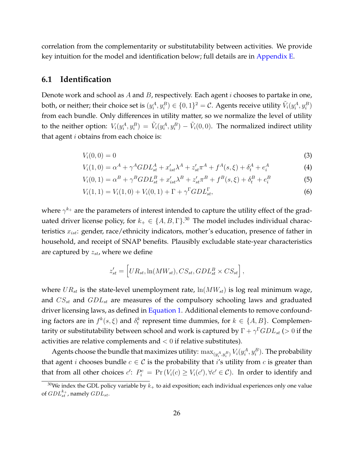correlation from the complementarity or substitutability between activities. We provide key intuition for the model and identification below; full details are in [Appendix E.](#page-50-0)

### **6.1 Identification**

Denote work and school as  $A$  and  $B$ , respectively. Each agent  $i$  chooses to partake in one, both, or neither; their choice set is  $(y_i^A, y_i^B) \in \{0,1\}^2 = \mathcal{C}$ . Agents receive utility  $\tilde V_i(y_i^A, y_i^B)$ from each bundle. Only differences in utility matter, so we normalize the level of utility to the neither option:  $V_i(y_i^A, y_i^B) = \tilde{V}_i(y_i^A, y_i^B) - \tilde{V}_i(0, 0)$ . The normalized indirect utility that agent  $i$  obtains from each choice is:

<span id="page-25-0"></span>
$$
V_i(0,0) = 0
$$
 (3)

$$
V_i(1,0) = \alpha^A + \gamma^A GDL_{st}^A + x'_{ist}\lambda^A + z'_{st}\pi^A + f^A(s,\xi) + \delta^A_t + e^A_i
$$
 (4)

$$
V_i(0,1) = \alpha^B + \gamma^B GDL_{st}^B + x_{ist}'\lambda^B + z_{st}'\pi^B + f^B(s,\xi) + \delta_t^B + e_i^B
$$
 (5)

$$
V_i(1,1) = V_i(1,0) + V_i(0,1) + \Gamma + \gamma^{\Gamma} G D L_{st}^{\Gamma},
$$
\n(6)

where  $\gamma^{k_+}$  are the parameters of interest intended to capture the utility effect of the graduated driver license policy, for  $k_+ \in \{A, B, \Gamma\}^{.30}$  The model includes individual characteristics  $x_{ist}$ : gender, race/ethnicity indicators, mother's education, presence of father in household, and receipt of SNAP benefits. Plausibly excludable state-year characteristics are captured by  $z_{st}$ , where we define

<span id="page-25-1"></span>
$$
z'_{st} = \left[ U R_{st}, \ln(M W_{st}), CS_{st}, G D L_{st}^B \times CS_{st} \right],
$$

where  $UR_{st}$  is the state-level unemployment rate,  $\ln(MW_{st})$  is log real minimum wage, and  $CS_{st}$  and  $GDL_{st}$  are measures of the compulsory schooling laws and graduated driver licensing laws, as defined in [Equation 1.](#page-9-1) Additional elements to remove confounding factors are in  $f^k(s,\xi)$  and  $\delta^k_t$  represent time dummies, for  $k \in \{A, B\}$ . Complementarity or substitutability between school and work is captured by  $\Gamma + \gamma^\Gamma GLD_{st} \ (>0$  if the activities are relative complements and  $< 0$  if relative substitutes).

Agents choose the bundle that maximizes utility:  $\max_{(y_i^A, y_i^B)} V_i(y_i^A, y_i^B)$ . The probability that agent *i* chooses bundle  $c \in C$  is the probability that *i*'s utility from *c* is greater than that from all other choices  $c'$ :  $P_i^c = \Pr(V_i(c) \ge V_i(c'), \forall c' \in C)$ . In order to identify and

<sup>&</sup>lt;sup>30</sup>We index the GDL policy variable by  $k_+$  to aid exposition; each individual experiences only one value of  $GDL_{st}^{k_+}$ , namely  $GDL_{st}$ .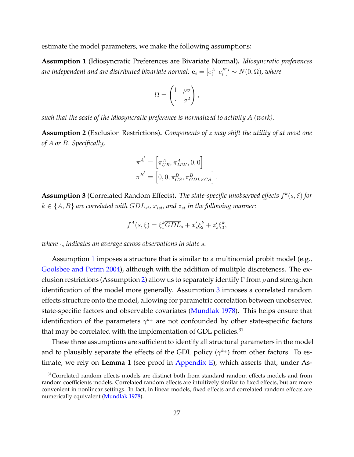<span id="page-26-0"></span>estimate the model parameters, we make the following assumptions:

**Assumption 1** (Idiosyncratic Preferences are Bivariate Normal)**.** *Idiosyncratic preferences* are independent and are distributed bivariate normal:  ${\bf e}_i = [e^A_i \;\; e^B_i]' \sim N(0, \Omega)$ , where

$$
\Omega = \begin{pmatrix} 1 & \rho \sigma \\ \cdot & \sigma^2 \end{pmatrix},
$$

*such that the scale of the idiosyncratic preference is normalized to activity A (work).*

<span id="page-26-1"></span>**Assumption 2** (Exclusion Restrictions)**.** *Components of* z *may shift the utility of at most one of* A *or* B*. Specifically,*

$$
\pi^{A'} = \left[\pi_{UR}^A, \pi_{MW}^A, 0, 0\right] \pi^{B'} = \left[0, 0, \pi_{CS}^B, \pi_{GDL\times CS}^B\right].
$$

<span id="page-26-2"></span>**Assumption 3** (Correlated Random Effects). *The state-specific unobserved effects f<sup>k</sup>(s, ξ) for*  $k \in \{A, B\}$  are correlated with  $GDL_{st}$ ,  $x_{ist}$ , and  $z_{st}$  in the following manner:

$$
f^A(s,\xi) = \xi_1^k \overline{GDL}_s + \overline{x}_s' \xi_2^k + \overline{z}_s' \xi_3^k,
$$

*where*  $\frac{1}{s}$  *indicates an average across observations in state s.* 

Assumption [1](#page-26-0) imposes a structure that is similar to a multinomial probit model (e.g., [Goolsbee and Petrin 2004\)](#page-35-7), although with the addition of mulitple discreteness. The ex-clusion restrictions (Assumption [2\)](#page-26-1) allow us to separately identify  $\Gamma$  from  $\rho$  and strengthen identification of the model more generally. Assumption [3](#page-26-2) imposes a correlated random effects structure onto the model, allowing for parametric correlation between unobserved state-specific factors and observable covariates [\(Mundlak 1978\)](#page-37-7). This helps ensure that identification of the parameters  $\gamma^{k_+}$  are not confounded by other state-specific factors that may be correlated with the implementation of GDL policies. $31$ 

These three assumptions are sufficient to identify all structural parameters in the model and to plausibly separate the effects of the GDL policy  $(\gamma^{k_+})$  from other factors. To estimate, we rely on **Lemma 1** (see proof in [Appendix E\)](#page-50-0), which asserts that, under As-

 $31$ Correlated random effects models are distinct both from standard random effects models and from random coefficients models. Correlated random effects are intuitively similar to fixed effects, but are more convenient in nonlinear settings. In fact, in linear models, fixed effects and correlated random effects are numerically equivalent [\(Mundlak 1978\)](#page-37-7).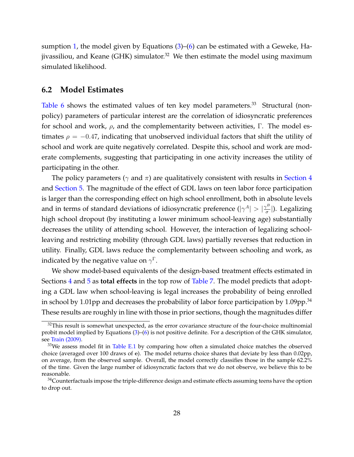sumption [1,](#page-26-0) the model given by Equations  $(3)$ – $(6)$  can be estimated with a Geweke, Hajivassiliou, and Keane (GHK) simulator.<sup>32</sup> We then estimate the model using maximum simulated likelihood.

### **6.2 Model Estimates**

[Table 6](#page-28-0) shows the estimated values of ten key model parameters.<sup>33</sup> Structural (nonpolicy) parameters of particular interest are the correlation of idiosyncratic preferences for school and work,  $\rho$ , and the complementarity between activities, Γ. The model estimates  $\rho = -0.47$ , indicating that unobserved individual factors that shift the utility of school and work are quite negatively correlated. Despite this, school and work are moderate complements, suggesting that participating in one activity increases the utility of participating in the other.

The policy parameters ( $\gamma$  and  $\pi$ ) are qualitatively consistent with results in [Section 4](#page-12-0) and [Section 5.](#page-19-0) The magnitude of the effect of GDL laws on teen labor force participation is larger than the corresponding effect on high school enrollment, both in absolute levels and in terms of standard deviations of idiosyncratic preference  $(|\gamma^A| > |\frac{\gamma^B}{\sigma}|)$  $\frac{1}{\sigma}$ |). Legalizing high school dropout (by instituting a lower minimum school-leaving age) substantially decreases the utility of attending school. However, the interaction of legalizing schoolleaving and restricting mobility (through GDL laws) partially reverses that reduction in utility. Finally, GDL laws reduce the complementarity between schooling and work, as indicated by the negative value on  $\gamma^\Gamma.$ 

We show model-based equivalents of the design-based treatment effects estimated in Sections [4](#page-12-0) and [5](#page-19-0) as **total effects** in the top row of [Table 7.](#page-31-0) The model predicts that adopting a GDL law when school-leaving is legal increases the probability of being enrolled in school by 1.01pp and decreases the probability of labor force participation by 1.09pp.<sup>34</sup> These results are roughly in line with those in prior sections, though the magnitudes differ

 $32$ This result is somewhat unexpected, as the error covariance structure of the four-choice multinomial probit model implied by Equations [\(3\)](#page-25-0)–[\(6\)](#page-25-1) is not positive definite. For a description of the GHK simulator, see [Train \(2009\).](#page-37-8)

 $33$ We assess model fit in [Table E.1](#page-56-0) by comparing how often a simulated choice matches the observed choice (averaged over 100 draws of e). The model returns choice shares that deviate by less than 0.02pp, on average, from the observed sample. Overall, the model correctly classifies those in the sample 62.2% of the time. Given the large number of idiosyncratic factors that we do not observe, we believe this to be reasonable.

<sup>&</sup>lt;sup>34</sup>Counterfactuals impose the triple-difference design and estimate effects assuming teens have the option to drop out.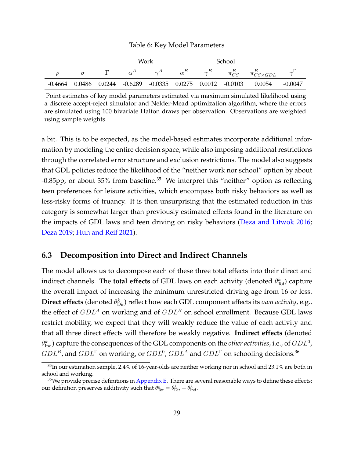#### Table 6: Key Model Parameters

<span id="page-28-0"></span>

|         |  |              | Work                                                              | <b>School</b> |              |                          |                  |
|---------|--|--------------|-------------------------------------------------------------------|---------------|--------------|--------------------------|------------------|
|         |  | $\alpha^{A}$ | $\gamma^{A}$                                                      |               | $\pi_{CS}^B$ | $\pi^{B}_{CS\times GDL}$ | $\gamma^{\perp}$ |
| -0.4664 |  |              | $0.0486$ $0.0244$ $-0.6289$ $-0.0335$ $0.0275$ $0.0012$ $-0.0103$ |               |              | 0.0054                   | $-0.0047$        |

Point estimates of key model parameters estimated via maximum simulated likelihood using a discrete accept-reject simulator and Nelder-Mead optimization algorithm, where the errors are simulated using 100 bivariate Halton draws per observation. Observations are weighted using sample weights.

a bit. This is to be expected, as the model-based estimates incorporate additional information by modeling the entire decision space, while also imposing additional restrictions through the correlated error structure and exclusion restrictions. The model also suggests that GDL policies reduce the likelihood of the "neither work nor school" option by about -0.85pp, or about 35% from baseline. $35$  We interpret this "neither" option as reflecting teen preferences for leisure activities, which encompass both risky behaviors as well as less-risky forms of truancy. It is then unsurprising that the estimated reduction in this category is somewhat larger than previously estimated effects found in the literature on the impacts of GDL laws and teen driving on risky behaviors [\(Deza and Litwok 2016;](#page-35-1) [Deza 2019;](#page-35-2) [Huh and Reif 2021\)](#page-36-7).

### **6.3 Decomposition into Direct and Indirect Channels**

The model allows us to decompose each of these three total effects into their direct and indirect channels. The **total effects** of GDL laws on each activity (denoted  $\theta_{\text{Tot}}^{k}$ ) capture the overall impact of increasing the minimum unrestricted driving age from 16 or less.  $\bm{\mathrm{Direct}}$  effects (denoted  $\theta_{\mathrm{Dir}}^k$ ) reflect how each GDL component affects its *own activity,* e.g., the effect of  $GDL<sup>A</sup>$  on working and of  $GDL<sup>B</sup>$  on school enrollment. Because GDL laws restrict mobility, we expect that they will weakly reduce the value of each activity and that all three direct effects will therefore be weakly negative. **Indirect effects** (denoted  $\theta_{\text{Ind}}^{k}$ ) capture the consequences of the GDL components on the *other activities,* i.e., of  $GDL^{0}$ ,  $GDL^B$ , and  $GDL^\Gamma$  on working, or  $GDL^0$ ,  $GDL^A$  and  $GDL^\Gamma$  on schooling decisions.<sup>36</sup>

<sup>&</sup>lt;sup>35</sup>In our estimation sample, 2.4% of 16-year-olds are neither working nor in school and 23.1% are both in school and working.

 $36$ We provide precise definitions in [Appendix E.](#page-50-0) There are several reasonable ways to define these effects; our definition preserves additivity such that  $\theta_{\rm Tot}^k = \theta_{\rm Dir}^k + \theta_{\rm Ind}^k$ .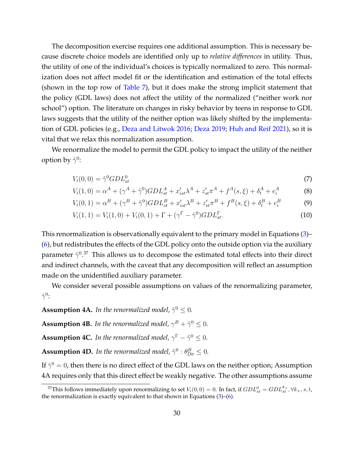The decomposition exercise requires one additional assumption. This is necessary because discrete choice models are identified only up to *relative differences* in utility. Thus, the utility of one of the individual's choices is typically normalized to zero. This normalization does not affect model fit or the identification and estimation of the total effects (shown in the top row of [Table 7\)](#page-31-0), but it does make the strong implicit statement that the policy (GDL laws) does not affect the utility of the normalized ("neither work nor school") option. The literature on changes in risky behavior by teens in response to GDL laws suggests that the utility of the neither option was likely shifted by the implementation of GDL policies (e.g., [Deza and Litwok 2016;](#page-35-1) [Deza 2019;](#page-35-2) [Huh and Reif 2021\)](#page-36-7), so it is vital that we relax this normalization assumption.

We renormalize the model to permit the GDL policy to impact the utility of the neither option by  $\tilde{\gamma}^0$ :

$$
V_i(0,0) = \tilde{\gamma}^0 G D L_{st}^0 \tag{7}
$$

$$
V_i(1,0) = \alpha^A + (\gamma^A + \tilde{\gamma}^0) G D L_{st}^A + x'_{ist} \lambda^A + z'_{st} \pi^A + f^A(s,\xi) + \delta_t^A + e_i^A
$$
(8)

$$
V_i(0,1) = \alpha^B + (\gamma^B + \tilde{\gamma}^0) G D L_{st}^B + x'_{ist} \lambda^B + z'_{st} \pi^B + f^B(s,\xi) + \delta_t^B + e_i^B
$$
(9)

$$
V_i(1,1) = V_i(1,0) + V_i(0,1) + \Gamma + (\gamma^{\Gamma} - \tilde{\gamma}^0) GDL_{st}^{\Gamma}.
$$
\n(10)

This renormalization is observationally equivalent to the primary model in Equations [\(3\)](#page-25-0)– [\(6\)](#page-25-1), but redistributes the effects of the GDL policy onto the outside option via the auxiliary parameter  $\tilde{\gamma}^{0.37}$  This allows us to decompose the estimated total effects into their direct and indirect channels, with the caveat that any decomposition will reflect an assumption made on the unidentified auxiliary parameter.

We consider several possible assumptions on values of the renormalizing parameter,  $\tilde{\gamma}^0\cdot$ 

**Assumption 4A.** In the renormalized model,  $\tilde{\gamma}^0 \leq 0$ .

**Assumption 4B.** In the renormalized model,  $\gamma^B + \tilde{\gamma}^0 \leq 0$ .

**Assumption 4C.** In the renormalized model,  $\gamma^{\Gamma} - \tilde{\gamma}^0 \leq 0$ .

**Assumption 4D.** In the renormalized model,  $\tilde{\gamma}^0$  :  $\theta_{Dir}^B \leq 0$ .

If  $\tilde{\gamma}^0=0$ , then there is no direct effect of the GDL laws on the neither option; Assumption 4A requires only that this direct effect be weakly negative. The other assumptions assume

<sup>&</sup>lt;sup>37</sup>This follows immediately upon renormalizing to set  $V_i(0,0) = 0$ . In fact, if  $GDL_{st}^0 = GDL_{st}^{k_+}, \forall k_+,s,t$ , the renormalization is exactly equivalent to that shown in Equations [\(3\)](#page-25-0)–[\(6\)](#page-25-1).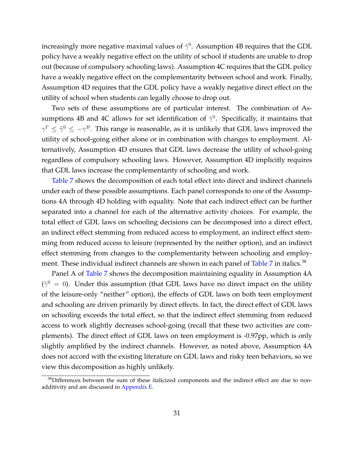increasingly more negative maximal values of  $\tilde{\gamma}^0$ . Assumption 4B requires that the GDL policy have a weakly negative effect on the utility of school if students are unable to drop out (because of compulsory schooling laws). Assumption 4C requires that the GDL policy have a weakly negative effect on the complementarity between school and work. Finally, Assumption 4D requires that the GDL policy have a weakly negative direct effect on the utility of school when students can legally choose to drop out.

Two sets of these assumptions are of particular interest. The combination of Assumptions 4B and 4C allows for set identification of  $\tilde{\gamma}^0$ . Specifically, it maintains that  $\gamma^\Gamma\leq\tilde{\gamma}^0\leq-\gamma^B.$  This range is reasonable, as it is unlikely that GDL laws improved the utility of school-going either alone or in combination with changes to employment. Alternatively, Assumption 4D ensures that GDL laws decrease the utility of school-going regardless of compulsory schooling laws. However, Assumption 4D implicitly requires that GDL laws increase the complementarity of schooling and work.

[Table 7](#page-31-0) shows the decomposition of each total effect into direct and indirect channels under each of these possible assumptions. Each panel corresponds to one of the Assumptions 4A through 4D holding with equality. Note that each indirect effect can be further separated into a channel for each of the alternative activity choices. For example, the total effect of GDL laws on schooling decisions can be decomposed into a direct effect, an indirect effect stemming from reduced access to employment, an indirect effect stemming from reduced access to leisure (represented by the neither option), and an indirect effect stemming from changes to the complementarity between schooling and employ-ment. These individual indirect channels are shown in each panel of [Table 7](#page-31-0) in italics.<sup>38</sup>

Panel A of [Table 7](#page-31-0) shows the decomposition maintaining equality in Assumption 4A  $(\tilde{\gamma}^0 = 0)$ . Under this assumption (that GDL laws have no direct impact on the utility of the leisure-only "neither" option), the effects of GDL laws on both teen employment and schooling are driven primarily by direct effects. In fact, the direct effect of GDL laws on schooling exceeds the total effect, so that the indirect effect stemming from reduced access to work slightly decreases school-going (recall that these two activities are complements). The direct effect of GDL laws on teen employment is -0.97pp, which is only slightly amplified by the indirect channels. However, as noted above, Assumption 4A does not accord with the existing literature on GDL laws and risky teen behaviors, so we view this decomposition as highly unlikely.

<sup>&</sup>lt;sup>38</sup>Differences between the sum of these italicized components and the indirect effect are due to nonadditivity and are discussed in [Appendix E.](#page-50-0)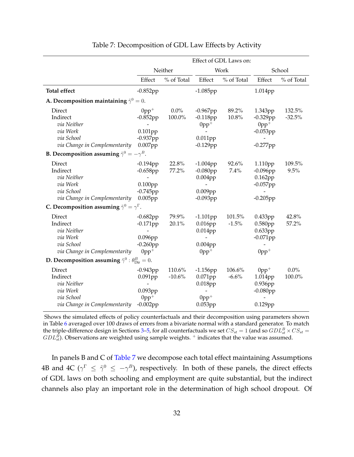<span id="page-31-0"></span>

|                                                                                              | Effect of GDL Laws on:                                                    |                    |                                                                           |                   |                                                                     |                    |
|----------------------------------------------------------------------------------------------|---------------------------------------------------------------------------|--------------------|---------------------------------------------------------------------------|-------------------|---------------------------------------------------------------------|--------------------|
|                                                                                              |                                                                           | Neither            |                                                                           | Work              |                                                                     | School             |
|                                                                                              | Effect                                                                    | % of Total         | Effect                                                                    | % of Total        | Effect                                                              | % of Total         |
| <b>Total effect</b>                                                                          | $-0.852pp$                                                                |                    | $-1.085$ pp                                                               |                   | 1.014pp                                                             |                    |
| A. Decomposition maintaining $\tilde{\gamma}^0 = 0$ .                                        |                                                                           |                    |                                                                           |                   |                                                                     |                    |
| Direct<br>Indirect<br>via Neither<br>via Work<br>via School<br>via Change in Complementarity | $0$ pp <sup>+</sup><br>$-0.852pp$<br>0.101pp<br>$-0.937$ pp<br>0.007pp    | $0.0\%$<br>100.0%  | $-0.967$ pp<br>$-0.118$ pp<br>$0pp^+$<br>0.011pp<br>$-0.129$ pp           | 89.2%<br>10.8%    | 1.343pp<br>$-0.329$ pp<br>$0pp^+$<br>$-0.053$ pp<br>$-0.277$ pp     | 132.5%<br>$-32.5%$ |
| <b>B.</b> Decomposition assuming $\tilde{\gamma}^0 = -\gamma^B$ .                            |                                                                           |                    |                                                                           |                   |                                                                     |                    |
| Direct<br>Indirect<br>via Neither<br>via Work<br>via School<br>via Change in Complementarity | $-0.194$ pp<br>$-0.658$ pp<br>$0.100$ pp<br>$-0.745$ pp<br>$0.005$ pp     | 22.8%<br>77.2%     | $-1.004$ pp<br>$-0.080$ pp<br>$0.004$ pp<br>$0.009$ pp<br>$-0.093$ pp     | 92.6%<br>7.4%     | 1.110pp<br>$-0.096$ pp<br>$0.162$ pp<br>$-0.057$ pp<br>$-0.205$ pp  | 109.5%<br>9.5%     |
| C. Decomposition assuming $\tilde{\gamma}^0 = \gamma^{\Gamma}$ .                             |                                                                           |                    |                                                                           |                   |                                                                     |                    |
| Direct<br>Indirect<br>via Neither<br>via Work<br>via School<br>via Change in Complementarity | $-0.682pp$<br>$-0.171$ pp<br>0.096pp<br>$-0.260$ pp<br>$0pp+$             | 79.9%<br>20.1%     | $-1.101$ pp<br>$0.016$ pp<br>0.014pp<br>$0.004$ pp<br>$0$ pp <sup>+</sup> | 101.5%<br>$-1.5%$ | 0.433pp<br>0.580pp<br>0.633pp<br>$-0.071$ pp<br>$0$ pp <sup>+</sup> | 42.8%<br>57.2%     |
| <b>D.</b> Decomposition assuming $\tilde{\gamma}^0$ : $\theta_{\text{Dir}}^B = 0$ .          |                                                                           |                    |                                                                           |                   |                                                                     |                    |
| Direct<br>Indirect<br>via Neither<br>via Work<br>via School<br>via Change in Complementarity | $-0.943$ pp<br>0.091pp<br>$0.093$ pp<br>$0$ pp <sup>+</sup><br>$-0.002pp$ | 110.6%<br>$-10.6%$ | $-1.156$ pp<br>0.071pp<br>$0.018$ pp<br>$0pp+$<br>$0.053$ pp              | 106.6%<br>$-6.6%$ | $0pp+$<br>1.014pp<br>0.936pp<br>$-0.080$ pp<br>0.129pp              | $0.0\%$<br>100.0%  |

#### Table 7: Decomposition of GDL Law Effects by Activity

Shows the simulated effects of policy counterfactuals and their decomposition using parameters shown in Table [6](#page-28-0) averaged over 100 draws of errors from a bivariate normal with a standard generator. To match the triple-difference design in Sections [3–](#page-9-0)[5,](#page-19-0) for all counterfactuals we set  $CS_{st} = 1$  (and so  $GDL_{st}^B \times CS_{st} = 1$  $GDL_{st}^B$ ). Observations are weighted using sample weights. <sup>+</sup> indicates that the value was assumed.

In panels B and C of [Table 7](#page-31-0) we decompose each total effect maintaining Assumptions 4B and 4C ( $\gamma^{\Gamma} \leq \tilde{\gamma}^0 \leq -\gamma^B$ ), respectively. In both of these panels, the direct effects of GDL laws on both schooling and employment are quite substantial, but the indirect channels also play an important role in the determination of high school dropout. Of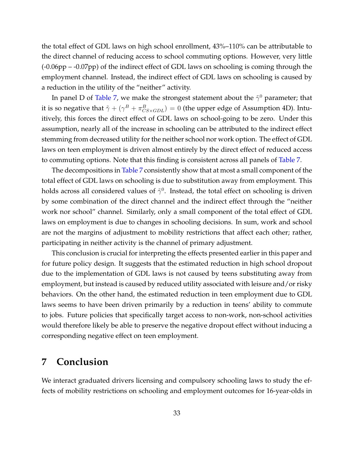the total effect of GDL laws on high school enrollment, 43%–110% can be attributable to the direct channel of reducing access to school commuting options. However, very little (-0.06pp – -0.07pp) of the indirect effect of GDL laws on schooling is coming through the employment channel. Instead, the indirect effect of GDL laws on schooling is caused by a reduction in the utility of the "neither" activity.

In panel D of [Table 7,](#page-31-0) we make the strongest statement about the  $\tilde{\gamma}^0$  parameter; that it is so negative that  $\tilde{\gamma}+(\gamma^B+\pi^B_{CS\times GDL})=0$  (the upper edge of Assumption 4D). Intuitively, this forces the direct effect of GDL laws on school-going to be zero. Under this assumption, nearly all of the increase in schooling can be attributed to the indirect effect stemming from decreased utility for the neither school nor work option. The effect of GDL laws on teen employment is driven almost entirely by the direct effect of reduced access to commuting options. Note that this finding is consistent across all panels of [Table 7.](#page-31-0)

The decompositions in [Table 7](#page-31-0) consistently show that at most a small component of the total effect of GDL laws on schooling is due to substitution away from employment. This holds across all considered values of  $\tilde{\gamma}^0.$  Instead, the total effect on schooling is driven by some combination of the direct channel and the indirect effect through the "neither work nor school" channel. Similarly, only a small component of the total effect of GDL laws on employment is due to changes in schooling decisions. In sum, work and school are not the margins of adjustment to mobility restrictions that affect each other; rather, participating in neither activity is the channel of primary adjustment.

This conclusion is crucial for interpreting the effects presented earlier in this paper and for future policy design. It suggests that the estimated reduction in high school dropout due to the implementation of GDL laws is not caused by teens substituting away from employment, but instead is caused by reduced utility associated with leisure and/or risky behaviors. On the other hand, the estimated reduction in teen employment due to GDL laws seems to have been driven primarily by a reduction in teens' ability to commute to jobs. Future policies that specifically target access to non-work, non-school activities would therefore likely be able to preserve the negative dropout effect without inducing a corresponding negative effect on teen employment.

# <span id="page-32-0"></span>**7 Conclusion**

We interact graduated drivers licensing and compulsory schooling laws to study the effects of mobility restrictions on schooling and employment outcomes for 16-year-olds in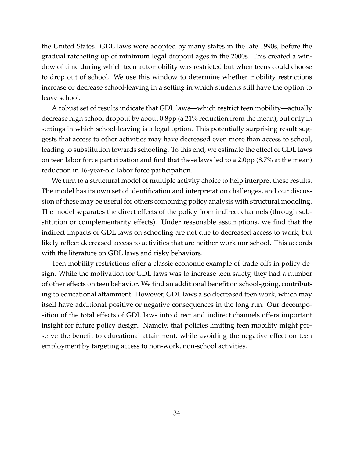the United States. GDL laws were adopted by many states in the late 1990s, before the gradual ratcheting up of minimum legal dropout ages in the 2000s. This created a window of time during which teen automobility was restricted but when teens could choose to drop out of school. We use this window to determine whether mobility restrictions increase or decrease school-leaving in a setting in which students still have the option to leave school.

A robust set of results indicate that GDL laws—which restrict teen mobility—actually decrease high school dropout by about 0.8pp (a 21% reduction from the mean), but only in settings in which school-leaving is a legal option. This potentially surprising result suggests that access to other activities may have decreased even more than access to school, leading to substitution towards schooling. To this end, we estimate the effect of GDL laws on teen labor force participation and find that these laws led to a 2.0pp (8.7% at the mean) reduction in 16-year-old labor force participation.

We turn to a structural model of multiple activity choice to help interpret these results. The model has its own set of identification and interpretation challenges, and our discussion of these may be useful for others combining policy analysis with structural modeling. The model separates the direct effects of the policy from indirect channels (through substitution or complementarity effects). Under reasonable assumptions, we find that the indirect impacts of GDL laws on schooling are not due to decreased access to work, but likely reflect decreased access to activities that are neither work nor school. This accords with the literature on GDL laws and risky behaviors.

Teen mobility restrictions offer a classic economic example of trade-offs in policy design. While the motivation for GDL laws was to increase teen safety, they had a number of other effects on teen behavior. We find an additional benefit on school-going, contributing to educational attainment. However, GDL laws also decreased teen work, which may itself have additional positive or negative consequences in the long run. Our decomposition of the total effects of GDL laws into direct and indirect channels offers important insight for future policy design. Namely, that policies limiting teen mobility might preserve the benefit to educational attainment, while avoiding the negative effect on teen employment by targeting access to non-work, non-school activities.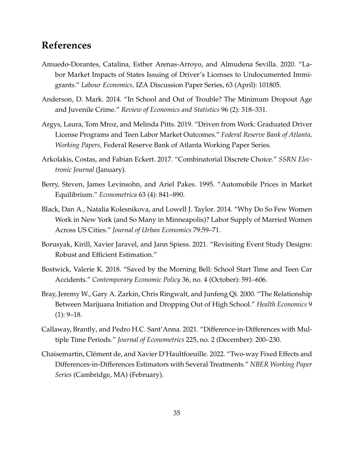# **References**

- <span id="page-34-1"></span>Amuedo-Dorantes, Catalina, Esther Arenas-Arroyo, and Almudena Sevilla. 2020. "Labor Market Impacts of States Issuing of Driver's Licenses to Undocumented Immigrants." *Labour Economics,* IZA Discussion Paper Series, 63 (April): 101805.
- <span id="page-34-3"></span>Anderson, D. Mark. 2014. "In School and Out of Trouble? The Minimum Dropout Age and Juvenile Crime." *Review of Economics and Statistics* 96 (2): 318–331.
- <span id="page-34-4"></span>Argys, Laura, Tom Mroz, and Melinda Pitts. 2019. "Driven from Work: Graduated Driver License Programs and Teen Labor Market Outcomes." *Federal Reserve Bank of Atlanta, Working Papers,* Federal Reserve Bank of Atlanta Working Paper Series.
- <span id="page-34-8"></span>Arkolakis, Costas, and Fabian Eckert. 2017. "Combinatorial Discrete Choice." *SSRN Electronic Journal* (January).
- <span id="page-34-5"></span>Berry, Steven, James Levinsohn, and Ariel Pakes. 1995. "Automobile Prices in Market Equilibrium." *Econometrica* 63 (4): 841–890.
- <span id="page-34-2"></span>Black, Dan A., Natalia Kolesnikova, and Lowell J. Taylor. 2014. "Why Do So Few Women Work in New York (and So Many in Minneapolis)? Labor Supply of Married Women Across US Cities." *Journal of Urban Economics* 79:59–71.
- <span id="page-34-7"></span>Borusyak, Kirill, Xavier Jaravel, and Jann Spiess. 2021. "Revisiting Event Study Designs: Robust and Efficient Estimation."
- <span id="page-34-9"></span>Bostwick, Valerie K. 2018. "Saved by the Morning Bell: School Start Time and Teen Car Accidents." *Contemporary Economic Policy* 36, no. 4 (October): 591–606.
- <span id="page-34-0"></span>Bray, Jeremy W., Gary A. Zarkin, Chris Ringwalt, and Junfeng Qi. 2000. "The Relationship Between Marijuana Initiation and Dropping Out of High School." *Health Economics* 9  $(1): 9-18.$
- <span id="page-34-10"></span>Callaway, Brantly, and Pedro H.C. Sant'Anna. 2021. "Difference-in-Differences with Multiple Time Periods." *Journal of Econometrics* 225, no. 2 (December): 200–230.
- <span id="page-34-6"></span>Chaisemartin, Clément de, and Xavier D'Haultfoeuille. 2022. "Two-way Fixed Effects and Differences-in-Differences Estimators with Several Treatments." *NBER Working Paper Series* (Cambridge, MA) (February).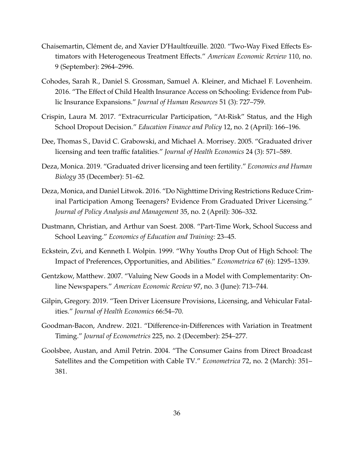- <span id="page-35-10"></span>Chaisemartin, Clément de, and Xavier D'Haultfœuille. 2020. "Two-Way Fixed Effects Estimators with Heterogeneous Treatment Effects." *American Economic Review* 110, no. 9 (September): 2964–2996.
- <span id="page-35-4"></span>Cohodes, Sarah R., Daniel S. Grossman, Samuel A. Kleiner, and Michael F. Lovenheim. 2016. "The Effect of Child Health Insurance Access on Schooling: Evidence from Public Insurance Expansions." *Journal of Human Resources* 51 (3): 727–759.
- <span id="page-35-0"></span>Crispin, Laura M. 2017. "Extracurricular Participation, "At-Risk" Status, and the High School Dropout Decision." *Education Finance and Policy* 12, no. 2 (April): 166–196.
- <span id="page-35-8"></span>Dee, Thomas S., David C. Grabowski, and Michael A. Morrisey. 2005. "Graduated driver licensing and teen traffic fatalities." *Journal of Health Economics* 24 (3): 571–589.
- <span id="page-35-2"></span>Deza, Monica. 2019. "Graduated driver licensing and teen fertility." *Economics and Human Biology* 35 (December): 51–62.
- <span id="page-35-1"></span>Deza, Monica, and Daniel Litwok. 2016. "Do Nighttime Driving Restrictions Reduce Criminal Participation Among Teenagers? Evidence From Graduated Driver Licensing." *Journal of Policy Analysis and Management* 35, no. 2 (April): 306–332.
- <span id="page-35-5"></span>Dustmann, Christian, and Arthur van Soest. 2008. "Part-Time Work, School Success and School Leaving." *Economics of Education and Training:* 23–45.
- <span id="page-35-3"></span>Eckstein, Zvi, and Kenneth I. Wolpin. 1999. "Why Youths Drop Out of High School: The Impact of Preferences, Opportunities, and Abilities." *Econometrica* 67 (6): 1295–1339.
- <span id="page-35-6"></span>Gentzkow, Matthew. 2007. "Valuing New Goods in a Model with Complementarity: Online Newspapers." *American Economic Review* 97, no. 3 (June): 713–744.
- <span id="page-35-9"></span>Gilpin, Gregory. 2019. "Teen Driver Licensure Provisions, Licensing, and Vehicular Fatalities." *Journal of Health Economics* 66:54–70.
- <span id="page-35-11"></span>Goodman-Bacon, Andrew. 2021. "Difference-in-Differences with Variation in Treatment Timing." *Journal of Econometrics* 225, no. 2 (December): 254–277.
- <span id="page-35-7"></span>Goolsbee, Austan, and Amil Petrin. 2004. "The Consumer Gains from Direct Broadcast Satellites and the Competition with Cable TV." *Econometrica* 72, no. 2 (March): 351– 381.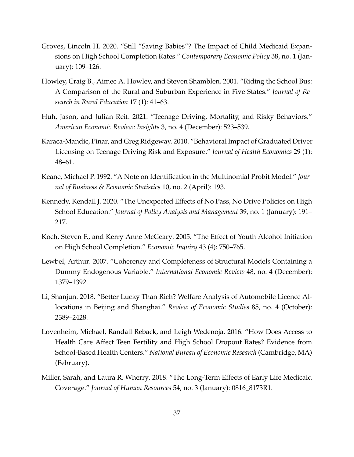- <span id="page-36-2"></span>Groves, Lincoln H. 2020. "Still "Saving Babies"? The Impact of Child Medicaid Expansions on High School Completion Rates." *Contemporary Economic Policy* 38, no. 1 (January): 109–126.
- <span id="page-36-8"></span>Howley, Craig B., Aimee A. Howley, and Steven Shamblen. 2001. "Riding the School Bus: A Comparison of the Rural and Suburban Experience in Five States." *Journal of Research in Rural Education* 17 (1): 41–63.
- <span id="page-36-7"></span>Huh, Jason, and Julian Reif. 2021. "Teenage Driving, Mortality, and Risky Behaviors." *American Economic Review: Insights* 3, no. 4 (December): 523–539.
- <span id="page-36-6"></span>Karaca-Mandic, Pinar, and Greg Ridgeway. 2010. "Behavioral Impact of Graduated Driver Licensing on Teenage Driving Risk and Exposure." *Journal of Health Economics* 29 (1): 48–61.
- <span id="page-36-10"></span>Keane, Michael P. 1992. "A Note on Identification in the Multinomial Probit Model." *Journal of Business & Economic Statistics* 10, no. 2 (April): 193.
- <span id="page-36-4"></span>Kennedy, Kendall J. 2020. "The Unexpected Effects of No Pass, No Drive Policies on High School Education." *Journal of Policy Analysis and Management* 39, no. 1 (January): 191– 217.
- <span id="page-36-0"></span>Koch, Steven F., and Kerry Anne McGeary. 2005. "The Effect of Youth Alcohol Initiation on High School Completion." *Economic Inquiry* 43 (4): 750–765.
- <span id="page-36-9"></span>Lewbel, Arthur. 2007. "Coherency and Completeness of Structural Models Containing a Dummy Endogenous Variable." *International Economic Review* 48, no. 4 (December): 1379–1392.
- <span id="page-36-5"></span>Li, Shanjun. 2018. "Better Lucky Than Rich? Welfare Analysis of Automobile Licence Allocations in Beijing and Shanghai." *Review of Economic Studies* 85, no. 4 (October): 2389–2428.
- <span id="page-36-1"></span>Lovenheim, Michael, Randall Reback, and Leigh Wedenoja. 2016. "How Does Access to Health Care Affect Teen Fertility and High School Dropout Rates? Evidence from School-Based Health Centers." *National Bureau of Economic Research* (Cambridge, MA) (February).
- <span id="page-36-3"></span>Miller, Sarah, and Laura R. Wherry. 2018. "The Long-Term Effects of Early Life Medicaid Coverage." *Journal of Human Resources* 54, no. 3 (January): 0816\_8173R1.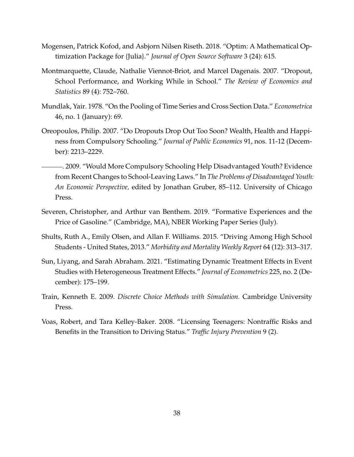- <span id="page-37-9"></span>Mogensen, Patrick Kofod, and Asbjorn Nilsen Riseth. 2018. "Optim: A Mathematical Optimization Package for {Julia}." *Journal of Open Source Software* 3 (24): 615.
- <span id="page-37-3"></span>Montmarquette, Claude, Nathalie Viennot-Briot, and Marcel Dagenais. 2007. "Dropout, School Performance, and Working While in School." *The Review of Economics and Statistics* 89 (4): 752–760.
- <span id="page-37-7"></span>Mundlak, Yair. 1978. "On the Pooling of Time Series and Cross Section Data." *Econometrica* 46, no. 1 (January): 69.
- <span id="page-37-2"></span>Oreopoulos, Philip. 2007. "Do Dropouts Drop Out Too Soon? Wealth, Health and Happiness from Compulsory Schooling." *Journal of Public Economics* 91, nos. 11-12 (December): 2213–2229.
- <span id="page-37-5"></span>. 2009. "Would More Compulsory Schooling Help Disadvantaged Youth? Evidence from Recent Changes to School-Leaving Laws." In *The Problems of Disadvantaged Youth: An Economic Perspective,* edited by Jonathan Gruber, 85–112. University of Chicago Press.
- <span id="page-37-4"></span>Severen, Christopher, and Arthur van Benthem. 2019. "Formative Experiences and the Price of Gasoline." (Cambridge, MA), NBER Working Paper Series (July).
- <span id="page-37-0"></span>Shults, Ruth A., Emily Olsen, and Allan F. Williams. 2015. "Driving Among High School Students - United States, 2013." *Morbidity and Mortality Weekly Report* 64 (12): 313–317.
- <span id="page-37-6"></span>Sun, Liyang, and Sarah Abraham. 2021. "Estimating Dynamic Treatment Effects in Event Studies with Heterogeneous Treatment Effects." *Journal of Econometrics* 225, no. 2 (December): 175–199.
- <span id="page-37-8"></span>Train, Kenneth E. 2009. *Discrete Choice Methods with Simulation.* Cambridge University Press.
- <span id="page-37-1"></span>Voas, Robert, and Tara Kelley-Baker. 2008. "Licensing Teenagers: Nontraffic Risks and Benefits in the Transition to Driving Status." *Traffic Injury Prevention* 9 (2).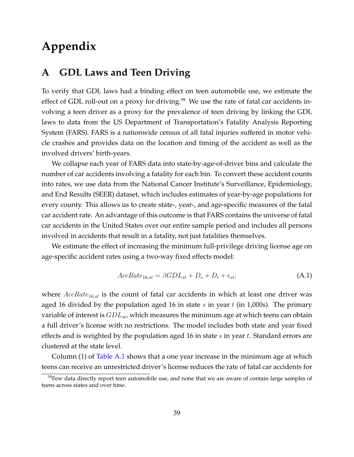# **Appendix**

# <span id="page-38-0"></span>**A GDL Laws and Teen Driving**

To verify that GDL laws had a binding effect on teen automobile use, we estimate the effect of GDL roll-out on a proxy for driving.<sup>39</sup> We use the rate of fatal car accidents involving a teen driver as a proxy for the prevalence of teen driving by linking the GDL laws to data from the US Department of Transportation's Fatality Analysis Reporting System (FARS). FARS is a nationwide census of all fatal injuries suffered in motor vehicle crashes and provides data on the location and timing of the accident as well as the involved drivers' birth-years.

We collapse each year of FARS data into state-by-age-of-driver bins and calculate the number of car accidents involving a fatality for each bin. To convert these accident counts into rates, we use data from the National Cancer Institute's Surveillance, Epidemiology, and End Results (SEER) dataset, which includes estimates of year-by-age populations for every county. This allows us to create state-, year-, and age-specific measures of the fatal car accident rate. An advantage of this outcome is that FARS contains the universe of fatal car accidents in the United States over our entire sample period and includes all persons involved in accidents that result in a fatality, not just fatalities themselves.

We estimate the effect of increasing the minimum full-privilege driving license age on age-specific accident rates using a two-way fixed effects model:

$$
AccRate_{16,st} = \beta GDL_{st} + D_s + D_t + \epsilon_{st}, \tag{A.1}
$$

where  $AccRate_{16,st}$  is the count of fatal car accidents in which at least one driver was aged 16 divided by the population aged 16 in state s in year t (in 1,000s). The primary variable of interest is  $GDL_{st}$ , which measures the minimum age at which teens can obtain a full driver's license with no restrictions. The model includes both state and year fixed effects and is weighted by the population aged 16 in state  $s$  in year  $t$ . Standard errors are clustered at the state level.

Column (1) of [Table A.1](#page-39-0) shows that a one year increase in the minimum age at which teens can receive an unrestricted driver's license reduces the rate of fatal car accidents for

 $39$ Few data directly report teen automobile use, and none that we are aware of contain large samples of teens across states and over time.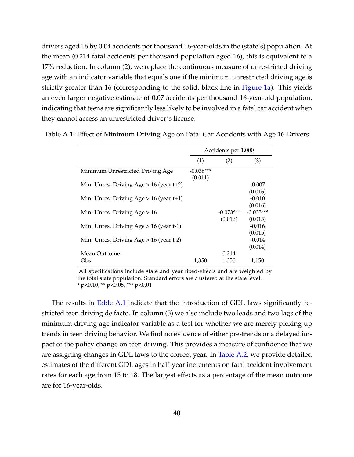drivers aged 16 by 0.04 accidents per thousand 16-year-olds in the (state's) population. At the mean (0.214 fatal accidents per thousand population aged 16), this is equivalent to a 17% reduction. In column (2), we replace the continuous measure of unrestricted driving age with an indicator variable that equals one if the minimum unrestricted driving age is strictly greater than 16 (corresponding to the solid, black line in [Figure 1a\)](#page-6-0). This yields an even larger negative estimate of 0.07 accidents per thousand 16-year-old population, indicating that teens are significantly less likely to be involved in a fatal car accident when they cannot access an unrestricted driver's license.

|                                              |                        | Accidents per 1,000 |             |
|----------------------------------------------|------------------------|---------------------|-------------|
|                                              | (1)                    | (2)                 | (3)         |
| Minimum Unrestricted Driving Age             | $-0.036***$<br>(0.011) |                     |             |
| Min. Unres. Driving $Age > 16$ (year $t+2$ ) |                        |                     | $-0.007$    |
|                                              |                        |                     | (0.016)     |
| Min. Unres. Driving $Age > 16$ (year $t+1$ ) |                        |                     | $-0.010$    |
|                                              |                        |                     | (0.016)     |
| Min. Unres. Driving $Age > 16$               |                        | $-0.073***$         | $-0.035***$ |
|                                              |                        | (0.016)             | (0.013)     |
| Min. Unres. Driving $Age > 16$ (year t-1)    |                        |                     | $-0.016$    |
|                                              |                        |                     | (0.015)     |
| Min. Unres. Driving $Age > 16$ (year t-2)    |                        |                     | $-0.014$    |
|                                              |                        |                     | (0.014)     |
| Mean Outcome                                 |                        | 0.214               |             |
| Obs                                          | 1.350                  | 1.350               | 1.150       |

<span id="page-39-0"></span>Table A.1: Effect of Minimum Driving Age on Fatal Car Accidents with Age 16 Drivers

All specifications include state and year fixed-effects and are weighted by the total state population. Standard errors are clustered at the state level.  $*$  p<0.10,  $*$  p<0.05,  $**$  p<0.01

The results in [Table A.1](#page-39-0) indicate that the introduction of GDL laws significantly restricted teen driving de facto. In column (3) we also include two leads and two lags of the minimum driving age indicator variable as a test for whether we are merely picking up trends in teen driving behavior. We find no evidence of either pre-trends or a delayed impact of the policy change on teen driving. This provides a measure of confidence that we are assigning changes in GDL laws to the correct year. In [Table A.2,](#page-40-0) we provide detailed estimates of the different GDL ages in half-year increments on fatal accident involvement rates for each age from 15 to 18. The largest effects as a percentage of the mean outcome are for 16-year-olds.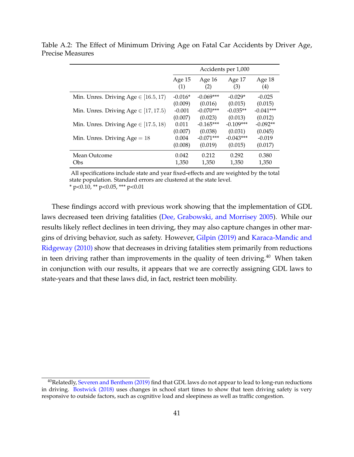Accidents per 1,000 Age 15 Age 16 Age 17 Age 18  $(1)$   $(2)$   $(3)$   $(4)$ Min. Unres. Driving Age  $\in$  [16.5, 17] -0.016\* -0.069\*\*\* -0.029\* -0.025 (0.009) (0.016) (0.015) (0.015) Min. Unres. Driving Age  $\in$  [17, 17.5) -0.001 -0.070\*\*\* -0.035\*\* -0.041\*\*\* (0.007) (0.023) (0.013) (0.012) Min. Unres. Driving Age  $\in$  [17.5, 18) 0.011 -0.165\*\*\* -0.109\*\*\* -0.092\*\* (0.007) (0.038) (0.031) (0.045) Min. Unres. Driving  $Age = 18$  0.004  $-0.071***$  -0.043\*\*\*  $-0.019$ (0.008) (0.019) (0.015) (0.017) Mean Outcome  $0.042$   $0.212$   $0.292$   $0.380$ Obs 1,350 1,350 1,350 1,350

<span id="page-40-0"></span>Table A.2: The Effect of Minimum Driving Age on Fatal Car Accidents by Driver Age, Precise Measures

All specifications include state and year fixed-effects and are weighted by the total state population. Standard errors are clustered at the state level.

 $*$  p<0.10,  $*$  p<0.05,  $**$  p<0.01

These findings accord with previous work showing that the implementation of GDL laws decreased teen driving fatalities [\(Dee, Grabowski, and Morrisey 2005\)](#page-35-8). While our results likely reflect declines in teen driving, they may also capture changes in other margins of driving behavior, such as safety. However, [Gilpin \(2019\)](#page-35-9) and [Karaca-Mandic and](#page-36-6) [Ridgeway \(2010\)](#page-36-6) show that decreases in driving fatalities stem primarily from reductions in teen driving rather than improvements in the quality of teen driving.<sup>40</sup> When taken in conjunction with our results, it appears that we are correctly assigning GDL laws to state-years and that these laws did, in fact, restrict teen mobility.

<sup>&</sup>lt;sup>40</sup>Relatedly, [Severen and Benthem \(2019\)](#page-37-4) find that GDL laws do not appear to lead to long-run reductions in driving. [Bostwick \(2018\)](#page-34-9) uses changes in school start times to show that teen driving safety is very responsive to outside factors, such as cognitive load and sleepiness as well as traffic congestion.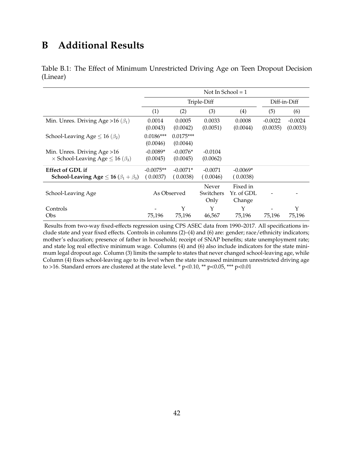# **B Additional Results**

<span id="page-41-0"></span>

|          |  |  | Table B.1: The Effect of Minimum Unrestricted Driving Age on Teen Dropout Decision |  |  |  |
|----------|--|--|------------------------------------------------------------------------------------|--|--|--|
| (Linear) |  |  |                                                                                    |  |  |  |

|                                                                                     | Not In School = $1$     |                         |                            |                                  |                       |                       |  |
|-------------------------------------------------------------------------------------|-------------------------|-------------------------|----------------------------|----------------------------------|-----------------------|-----------------------|--|
|                                                                                     |                         | Triple-Diff             |                            |                                  | Diff-in-Diff          |                       |  |
|                                                                                     | (1)                     | (2)                     | (3)                        | (4)                              | (5)                   | (6)                   |  |
| Min. Unres. Driving Age > 16 ( $\beta_1$ )                                          | 0.0014<br>(0.0043)      | 0.0005<br>(0.0042)      | 0.0033<br>(0.0051)         | 0.0008<br>(0.0044)               | $-0.0022$<br>(0.0035) | $-0.0024$<br>(0.0033) |  |
| School-Leaving Age $\leq 16 \, (\beta_2)$                                           | $0.0186***$<br>(0.0046) | $0.0175***$<br>(0.0044) |                            |                                  |                       |                       |  |
| Min. Unres. Driving Age > 16<br>$\times$ School-Leaving Age $\leq$ 16 ( $\beta_3$ ) | $-0.0089*$<br>(0.0045)  | $-0.0076*$<br>(0.0045)  | $-0.0104$<br>(0.0062)      |                                  |                       |                       |  |
| <b>Effect of GDL if</b><br>School-Leaving Age $\leq$ 16 ( $\beta_1 + \beta_3$ )     | $-0.0075**$<br>(0.0037) | $-0.0071*$<br>(0.0038)  | $-0.0071$<br>(0.0046)      | $-0.0069*$<br>(0.0038)           |                       |                       |  |
| School-Leaving Age                                                                  | As Observed             |                         | Never<br>Switchers<br>Only | Fixed in<br>Yr. of GDL<br>Change |                       |                       |  |
| Controls<br>Obs                                                                     | 75,196                  | Y<br>75,196             | Υ<br>46,567                | Υ<br>75,196                      | 75,196                | Y<br>75,196           |  |

Results from two-way fixed-effects regression using CPS ASEC data from 1990–2017. All specifications include state and year fixed effects. Controls in columns (2)–(4) and (6) are: gender; race/ethnicity indicators; mother's education; presence of father in household; receipt of SNAP benefits; state unemployment rate; and state log real effective minimum wage. Columns (4) and (6) also include indicators for the state minimum legal dropout age. Column (3) limits the sample to states that never changed school-leaving age, while Column (4) fixes school-leaving age to its level when the state increased minimum unrestricted driving age to >16. Standard errors are clustered at the state level. \* p<0.10, \*\* p<0.05, \*\*\* p<0.01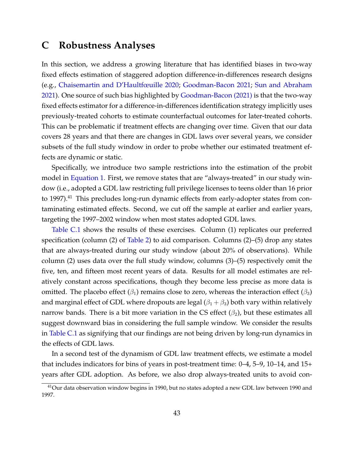# <span id="page-42-0"></span>**C Robustness Analyses**

In this section, we address a growing literature that has identified biases in two-way fixed effects estimation of staggered adoption difference-in-differences research designs (e.g., [Chaisemartin and D'Haultfœuille 2020;](#page-35-10) [Goodman-Bacon 2021;](#page-35-11) [Sun and Abraham](#page-37-6) [2021\)](#page-37-6). One source of such bias highlighted by [Goodman-Bacon \(2021\)](#page-35-11) is that the two-way fixed effects estimator for a difference-in-differences identification strategy implicitly uses previously-treated cohorts to estimate counterfactual outcomes for later-treated cohorts. This can be problematic if treatment effects are changing over time. Given that our data covers 28 years and that there are changes in GDL laws over several years, we consider subsets of the full study window in order to probe whether our estimated treatment effects are dynamic or static.

Specifically, we introduce two sample restrictions into the estimation of the probit model in [Equation 1.](#page-9-1) First, we remove states that are "always-treated" in our study window (i.e., adopted a GDL law restricting full privilege licenses to teens older than 16 prior to 1997).<sup>41</sup> This precludes long-run dynamic effects from early-adopter states from contaminating estimated effects. Second, we cut off the sample at earlier and earlier years, targeting the 1997–2002 window when most states adopted GDL laws.

[Table C.1](#page-43-0) shows the results of these exercises. Column (1) replicates our preferred specification (column  $(2)$  of [Table 2\)](#page-12-1) to aid comparison. Columns  $(2)$ – $(5)$  drop any states that are always-treated during our study window (about 20% of observations). While column (2) uses data over the full study window, columns (3)–(5) respectively omit the five, ten, and fifteen most recent years of data. Results for all model estimates are relatively constant across specifications, though they become less precise as more data is omitted. The placebo effect ( $\beta_1$ ) remains close to zero, whereas the interaction effect ( $\beta_3$ ) and marginal effect of GDL where dropouts are legal  $(\beta_1 + \beta_3)$  both vary within relatively narrow bands. There is a bit more variation in the CS effect  $(\beta_2)$ , but these estimates all suggest downward bias in considering the full sample window. We consider the results in [Table C.1](#page-43-0) as signifying that our findings are not being driven by long-run dynamics in the effects of GDL laws.

In a second test of the dynamism of GDL law treatment effects, we estimate a model that includes indicators for bins of years in post-treatment time: 0–4, 5–9, 10–14, and 15+ years after GDL adoption. As before, we also drop always-treated units to avoid con-

<sup>&</sup>lt;sup>41</sup>Our data observation window begins in 1990, but no states adopted a new GDL law between 1990 and 1997.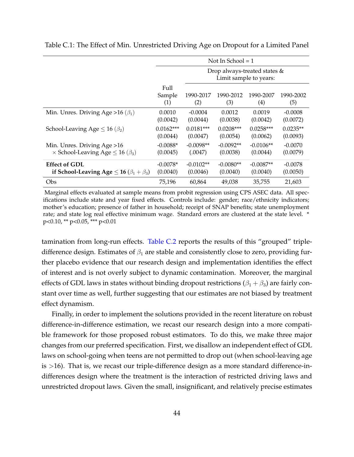|                                                         | Not In School $=1$    |                                                        |                  |                  |                  |  |  |  |
|---------------------------------------------------------|-----------------------|--------------------------------------------------------|------------------|------------------|------------------|--|--|--|
|                                                         |                       | Drop always-treated states &<br>Limit sample to years: |                  |                  |                  |  |  |  |
|                                                         | Full<br>Sample<br>(1) | 1990-2017<br>(2)                                       | 1990-2012<br>(3) | 1990-2007<br>(4) | 1990-2002<br>(5) |  |  |  |
| Min. Unres. Driving Age > 16 ( $\beta_1$ )              | 0.0010                | $-0.0004$                                              | 0.0012           | 0.0019           | $-0.0008$        |  |  |  |
|                                                         | (0.0042)              | (0.0044)                                               | (0.0038)         | (0.0042)         | (0.0072)         |  |  |  |
| School-Leaving Age $\leq 16 \, (\beta_2)$               | $0.0162***$           | $0.0181***$                                            | $0.0208***$      | $0.0258***$      | $0.0235**$       |  |  |  |
|                                                         | (0.0044)              | (0.0047)                                               | (0.0054)         | (0.0062)         | (0.0093)         |  |  |  |
| Min. Unres. Driving Age > 16                            | $-0.0088*$            | $-0.0098**$                                            | $-0.0092**$      | $-0.0106**$      | $-0.0070$        |  |  |  |
| $\times$ School-Leaving Age $\leq$ 16 ( $\beta_3$ )     | (0.0045)              | (.0047)                                                | (0.0038)         | (0.0044)         | (0.0079)         |  |  |  |
| <b>Effect of GDL</b>                                    | $-0.0078*$            | $-0.0102**$                                            | $-0.0080**$      | $-0.0087**$      | $-0.0078$        |  |  |  |
| if School-Leaving Age $\leq$ 16 ( $\beta_1 + \beta_3$ ) | (0.0040)              | (0.0046)                                               | (0.0040)         | (0.0040)         | (0.0050)         |  |  |  |
| Obs                                                     | 75,196                | 60,864                                                 | 49,038           | 35,755           | 21,603           |  |  |  |

<span id="page-43-0"></span>Table C.1: The Effect of Min. Unrestricted Driving Age on Dropout for a Limited Panel

Marginal effects evaluated at sample means from probit regression using CPS ASEC data. All specifications include state and year fixed effects. Controls include: gender; race/ethnicity indicators; mother's education; presence of father in household; receipt of SNAP benefits; state unemployment rate; and state log real effective minimum wage. Standard errors are clustered at the state level.  $*$ p<0.10, \*\* p<0.05, \*\*\* p<0.01

tamination from long-run effects. [Table C.2](#page-44-0) reports the results of this "grouped" tripledifference design. Estimates of  $\beta_1$  are stable and consistently close to zero, providing further placebo evidence that our research design and implementation identifies the effect of interest and is not overly subject to dynamic contamination. Moreover, the marginal effects of GDL laws in states without binding dropout restrictions ( $\beta_1 + \beta_3$ ) are fairly constant over time as well, further suggesting that our estimates are not biased by treatment effect dynamism.

Finally, in order to implement the solutions provided in the recent literature on robust difference-in-difference estimation, we recast our research design into a more compatible framework for those proposed robust estimators. To do this, we make three major changes from our preferred specification. First, we disallow an independent effect of GDL laws on school-going when teens are not permitted to drop out (when school-leaving age is >16). That is, we recast our triple-difference design as a more standard difference-indifferences design where the treatment is the interaction of restricted driving laws and unrestricted dropout laws. Given the small, insignificant, and relatively precise estimates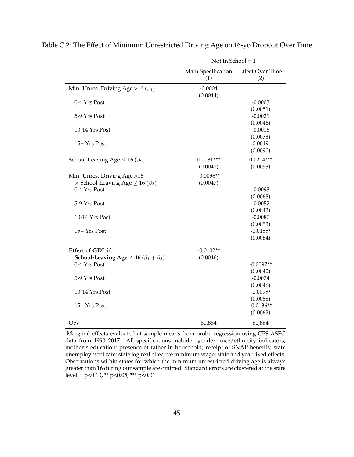|                                                                                     | Not In School = $1$       |                                |
|-------------------------------------------------------------------------------------|---------------------------|--------------------------------|
|                                                                                     | Main Specification<br>(1) | <b>Effect Over Time</b><br>(2) |
| Min. Unres. Driving Age > 16 ( $\beta_1$ )                                          | $-0.0004$<br>(0.0044)     |                                |
| 0-4 Yrs Post                                                                        |                           | $-0.0003$<br>(0.0051)          |
| 5-9 Yrs Post                                                                        |                           | $-0.0021$<br>(0.0046)          |
| 10-14 Yrs Post                                                                      |                           | $-0.0016$<br>(0.0073)          |
| $15+Yrs$ Post                                                                       |                           | 0.0019<br>(0.0090)             |
| School-Leaving Age $\leq 16 \, (\beta_2)$                                           | $0.0181***$<br>(0.0047)   | $0.0214***$<br>(0.0053)        |
| Min. Unres. Driving Age > 16<br>$\times$ School-Leaving Age $\leq$ 16 ( $\beta_3$ ) | $-0.0098**$<br>(0.0047)   |                                |
| 0-4 Yrs Post                                                                        |                           | $-0.0093$<br>(0.0063)          |
| 5-9 Yrs Post                                                                        |                           | $-0.0052$<br>(0.0043)          |
| 10-14 Yrs Post                                                                      |                           | $-0.0080$<br>(0.0053)          |
| 15+ Yrs Post                                                                        |                           | $-0.0155*$<br>(0.0084)         |
| <b>Effect of GDL if</b>                                                             | $-0.0102**$               |                                |
| School-Leaving Age $\leq$ 16 ( $\beta_1 + \beta_3$ )                                | (0.0046)                  |                                |
| 0-4 Yrs Post                                                                        |                           | $-0.0097**$                    |
|                                                                                     |                           | (0.0042)                       |
| 5-9 Yrs Post                                                                        |                           | $-0.0074$<br>(0.0046)          |
| 10-14 Yrs Post                                                                      |                           | $-0.0095*$                     |
|                                                                                     |                           | (0.0058)                       |
| $15+Yrs$ Post                                                                       |                           | $-0.0136**$                    |
|                                                                                     |                           | (0.0062)                       |
| Obs                                                                                 | 60,864                    | 60,864                         |

<span id="page-44-0"></span>Table C.2: The Effect of Minimum Unrestricted Driving Age on 16-yo Dropout Over Time

Marginal effects evaluated at sample means from probit regression using CPS ASEC data from 1990–2017. All specifications include: gender; race/ethnicity indicators; mother's education; presence of father in household; receipt of SNAP benefits; state unemployment rate; state log real effective minimum wage; state and year fixed effects. Observations within states for which the minimum unrestricted driving age is always greater than 16 during our sample are omitted. Standard errors are clustered at the state level. \* p<0.10, \*\* p<0.05, \*\*\* p<0.01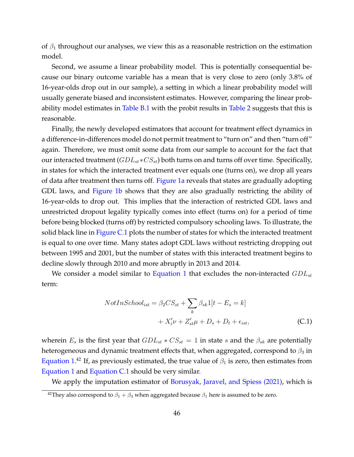of  $\beta_1$  throughout our analyses, we view this as a reasonable restriction on the estimation model.

Second, we assume a linear probability model. This is potentially consequential because our binary outcome variable has a mean that is very close to zero (only 3.8% of 16-year-olds drop out in our sample), a setting in which a linear probability model will usually generate biased and inconsistent estimates. However, comparing the linear prob-ability model estimates in [Table B.1](#page-41-0) with the probit results in [Table 2](#page-12-1) suggests that this is reasonable.

Finally, the newly developed estimators that account for treatment effect dynamics in a difference-in-differences model do not permit treatment to "turn on" and then "turn off" again. Therefore, we must omit some data from our sample to account for the fact that our interacted treatment  $(GDL_{st}*CS_{st})$  both turns on and turns off over time. Specifically, in states for which the interacted treatment ever equals one (turns on), we drop all years of data after treatment then turns off. [Figure 1a](#page-6-0) reveals that states are gradually adopting GDL laws, and [Figure 1b](#page-6-0) shows that they are also gradually restricting the ability of 16-year-olds to drop out. This implies that the interaction of restricted GDL laws and unrestricted dropout legality typically comes into effect (turns on) for a period of time before being blocked (turns off) by restricted compulsory schooling laws. To illustrate, the solid black line in [Figure C.1](#page-46-0) plots the number of states for which the interacted treatment is equal to one over time. Many states adopt GDL laws without restricting dropping out between 1995 and 2001, but the number of states with this interacted treatment begins to decline slowly through 2010 and more abruptly in 2013 and 2014.

We consider a model similar to [Equation 1](#page-9-1) that excludes the non-interacted  $GDL_{st}$ term:

<span id="page-45-0"></span>
$$
NotInSchool_{ist} = \beta_2 CS_{st} + \sum_{k} \beta_{sk} 1[t - E_s = k]
$$

$$
+ X_i' \nu + Z_{st}' \mu + D_s + D_t + \epsilon_{ist}, \tag{C.1}
$$

wherein  $E_s$  is the first year that  $GDL_{st}$  \*  $CS_{st} = 1$  in state s and the  $\beta_{sk}$  are potentially heterogeneous and dynamic treatment effects that, when aggregated, correspond to  $\beta_3$  in Equation  $1.^{42}$  If, as previously estimated, the true value of  $\beta_1$  is zero, then estimates from [Equation 1](#page-9-1) and [Equation C.1](#page-45-0) should be very similar.

We apply the imputation estimator of [Borusyak, Jaravel, and Spiess \(2021\),](#page-34-7) which is

<sup>&</sup>lt;sup>42</sup>They also correspond to  $\beta_1 + \beta_3$  when aggregated because  $\beta_1$  here is assumed to be zero.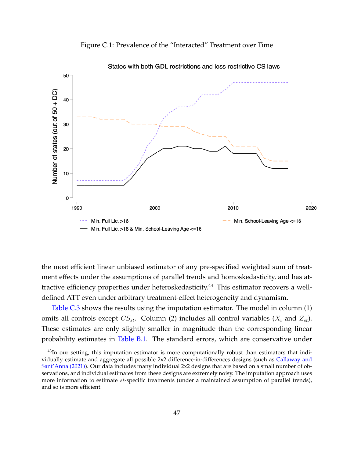<span id="page-46-0"></span>



States with both GDL restrictions and less restrictive CS laws

the most efficient linear unbiased estimator of any pre-specified weighted sum of treatment effects under the assumptions of parallel trends and homoskedasticity, and has attractive efficiency properties under heteroskedasticity.<sup>43</sup> This estimator recovers a welldefined ATT even under arbitrary treatment-effect heterogeneity and dynamism.

[Table C.3](#page-47-0) shows the results using the imputation estimator. The model in column (1) omits all controls except  $CS_{st}$ . Column (2) includes all control variables  $(X_i$  and  $Z_{st}$ ). These estimates are only slightly smaller in magnitude than the corresponding linear probability estimates in [Table B.1.](#page-41-0) The standard errors, which are conservative under

 $^{43}$ In our setting, this imputation estimator is more computationally robust than estimators that individually estimate and aggregate all possible 2x2 difference-in-differences designs (such as [Callaway and](#page-34-10) [Sant'Anna \(2021\)\)](#page-34-10). Our data includes many individual 2x2 designs that are based on a small number of observations, and individual estimates from these designs are extremely noisy. The imputation approach uses more information to estimate st-specific treatments (under a maintained assumption of parallel trends), and so is more efficient.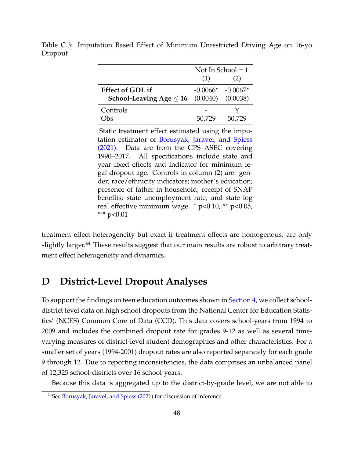|                                       | Not In School $=1$ |                     |  |
|---------------------------------------|--------------------|---------------------|--|
|                                       | (1)                | (2)                 |  |
| <b>Effect of GDL if</b>               |                    | $-0.0066* -0.0067*$ |  |
| School-Leaving Age $\leq$ 16 (0.0040) |                    | (0.0038)            |  |
| Controls                              |                    |                     |  |
| )hc                                   | 50.729             | 50.729              |  |

<span id="page-47-0"></span>Table C.3: Imputation Based Effect of Minimum Unrestricted Driving Age on 16-yo Dropout

Static treatment effect estimated using the imputation estimator of [Borusyak, Jaravel, and Spiess](#page-34-7) [\(2021\).](#page-34-7) Data are from the CPS ASEC covering 1990–2017. All specifications include state and year fixed effects and indicator for minimum legal dropout age. Controls in column (2) are: gender; race/ethnicity indicators; mother's education; presence of father in household; receipt of SNAP benefits; state unemployment rate; and state log real effective minimum wage. \* p<0.10, \*\* p<0.05, \*\*\* p<0.01

treatment effect heterogeneity but exact if treatment effects are homogenous, are only slightly larger.<sup>44</sup> These results suggest that our main results are robust to arbitrary treatment effect heterogeneity and dynamics.

## <span id="page-47-1"></span>**D District-Level Dropout Analyses**

To support the findings on teen education outcomes shown in [Section 4,](#page-12-0) we collect schooldistrict level data on high school dropouts from the National Center for Education Statistics' (NCES) Common Core of Data (CCD). This data covers school-years from 1994 to 2009 and includes the combined dropout rate for grades 9-12 as well as several timevarying measures of district-level student demographics and other characteristics. For a smaller set of years (1994-2001) dropout rates are also reported separately for each grade 9 through 12. Due to reporting inconsistencies, the data comprises an unbalanced panel of 12,325 school-districts over 16 school-years.

Because this data is aggregated up to the district-by-grade level, we are not able to

<sup>44</sup>See [Borusyak, Jaravel, and Spiess \(2021\)](#page-34-7) for discussion of inference.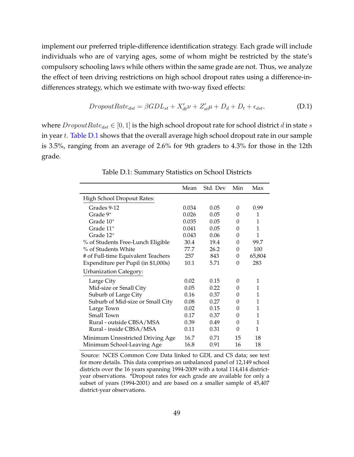implement our preferred triple-difference identification strategy. Each grade will include individuals who are of varying ages, some of whom might be restricted by the state's compulsory schooling laws while others within the same grade are not. Thus, we analyze the effect of teen driving restrictions on high school dropout rates using a difference-indifferences strategy, which we estimate with two-way fixed effects:

<span id="page-48-1"></span>
$$
DropoutRate_{dst} = \beta GDL_{st} + X'_{dt}\nu + Z'_{st}\mu + D_d + D_t + \epsilon_{dst}, \tag{D.1}
$$

<span id="page-48-0"></span>where  $DropoutRate_{dst} \in [0, 1]$  is the high school dropout rate for school district d in state s in year  $t$ . [Table D.1](#page-48-0) shows that the overall average high school dropout rate in our sample is 3.5%, ranging from an average of 2.6% for 9th graders to 4.3% for those in the 12th grade.

|                                     | Mean  | Std. Dev | Min      | Max    |
|-------------------------------------|-------|----------|----------|--------|
| High School Dropout Rates:          |       |          |          |        |
| Grades 9-12                         | 0.034 | 0.05     | 0        | 0.99   |
| Grade 9*                            | 0.026 | 0.05     | 0        | 1      |
| Grade 10*                           | 0.035 | 0.05     | 0        | 1      |
| Grade 11*                           | 0.041 | 0.05     | 0        | 1      |
| Grade 12*                           | 0.043 | 0.06     | 0        | 1      |
| % of Students Free-Lunch Eligible   | 30.4  | 19.4     | 0        | 99.7   |
| % of Students White                 | 77.7  | 26.2     | 0        | 100    |
| # of Full-time Equivalent Teachers  | 257   | 843      | 0        | 65,804 |
| Expenditure per Pupil (in \$1,000s) | 10.1  | 5.71     | 0        | 283    |
| <b>Urbanization Category:</b>       |       |          |          |        |
| Large City                          | 0.02  | 0.15     | $\Omega$ | 1      |
| Mid-size or Small City              | 0.05  | 0.22     | 0        | 1      |
| Suburb of Large City                | 0.16  | 0.37     | 0        | 1      |
| Suburb of Mid-size or Small City    | 0.08  | 0.27     | 0        | 1      |
| Large Town                          | 0.02  | 0.15     | 0        | 1      |
| Small Town                          | 0.17  | 0.37     | 0        | 1      |
| Rural - outside CBSA/MSA            | 0.39  | 0.49     | 0        | 1      |
| Rural - inside CBSA/MSA             | 0.11  | 0.31     | $\theta$ | 1      |
| Minimum Unrestricted Driving Age    | 16.7  | 0.71     | 15       | 18     |
| Minimum School-Leaving Age          | 16.8  | 0.91     | 16       | 18     |

Table D.1: Summary Statistics on School Districts

Source: NCES Common Core Data linked to GDL and CS data; see text for more details. This data comprises an unbalanced panel of 12,149 school districts over the 16 years spanning 1994-2009 with a total 114,414 districtyear observations. \*Dropout rates for each grade are available for only a subset of years (1994-2001) and are based on a smaller sample of 45,407 district-year observations.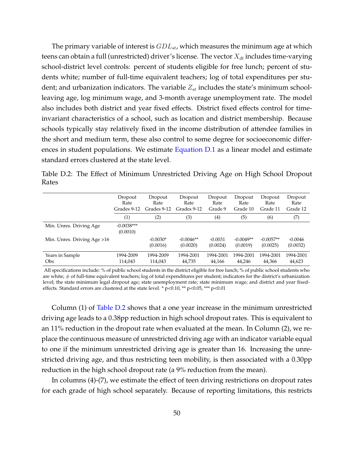The primary variable of interest is  $GDL_{st}$ , which measures the minimum age at which teens can obtain a full (unrestricted) driver's license. The vector  $X_{dt}$  includes time-varying school-district level controls: percent of students eligible for free lunch; percent of students white; number of full-time equivalent teachers; log of total expenditures per student; and urbanization indicators. The variable  $Z_{st}$  includes the state's minimum schoolleaving age, log minimum wage, and 3-month average unemployment rate. The model also includes both district and year fixed effects. District fixed effects control for timeinvariant characteristics of a school, such as location and district membership. Because schools typically stay relatively fixed in the income distribution of attendee families in the short and medium term, these also control to some degree for socioeconomic differ-ences in student populations. We estimate [Equation D.1](#page-48-1) as a linear model and estimate standard errors clustered at the state level.

<span id="page-49-0"></span>Table D.2: The Effect of Minimum Unrestricted Driving Age on High School Dropout Rates

|                               | Dropout<br>Rate<br>Grades 9-12 | Dropout<br>Rate<br>Grades 9-12 | Dropout<br>Rate<br>Grades 9-12 | Dropout<br>Rate<br>Grade 9 | Dropout<br>Rate<br>Grade 10 | Dropout<br>Rate<br>Grade 11 | Dropout<br>Rate<br>Grade 12 |
|-------------------------------|--------------------------------|--------------------------------|--------------------------------|----------------------------|-----------------------------|-----------------------------|-----------------------------|
|                               | (1)                            | (2)                            | (3)                            | (4)                        | (5)                         | (6)                         | (7)                         |
| Min. Unres. Driving Age       | $-0.0038***$<br>(0.0010)       |                                |                                |                            |                             |                             |                             |
| Min. Unres. Driving Age >16   |                                | $-0.0030*$<br>(0.0016)         | $-0.0046**$<br>(0.0020)        | $-0.0031$<br>(0.0024)      | $-0.0049**$<br>(0.0019)     | $-0.0057**$<br>(0.0025)     | $-0.0046$<br>(0.0032)       |
| Years in Sample<br><b>Obs</b> | 1994-2009<br>114,043           | 1994-2009<br>114,043           | 1994-2001<br>44,735            | 1994-2001<br>44,166        | 1994-2001<br>44,246         | 1994-2001<br>44,366         | 1994-2001<br>44,623         |

All specifications include: % of public school students in the district eligible for free lunch; % of public school students who are white; # of full-time equivalent teachers; log of total expenditures per student; indicators for the district's urbanization level; the state minimum legal dropout age; state unemployment rate; state minimum wage; and district and year fixedeffects. Standard errors are clustered at the state level. \* p<0.10, \*\* p<0.05, \*\*\* p<0.01

Column (1) of [Table D.2](#page-49-0) shows that a one year increase in the minimum unrestricted driving age leads to a 0.38pp reduction in high school dropout rates. This is equivalent to an 11% reduction in the dropout rate when evaluated at the mean. In Column (2), we replace the continuous measure of unrestricted driving age with an indicator variable equal to one if the minimum unrestricted driving age is greater than 16. Increasing the unrestricted driving age, and thus restricting teen mobility, is then associated with a 0.30pp reduction in the high school dropout rate (a 9% reduction from the mean).

In columns (4)-(7), we estimate the effect of teen driving restrictions on dropout rates for each grade of high school separately. Because of reporting limitations, this restricts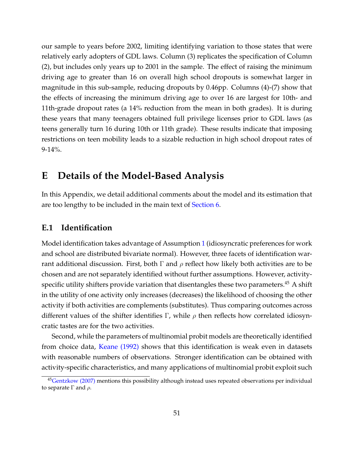our sample to years before 2002, limiting identifying variation to those states that were relatively early adopters of GDL laws. Column (3) replicates the specification of Column (2), but includes only years up to 2001 in the sample. The effect of raising the minimum driving age to greater than 16 on overall high school dropouts is somewhat larger in magnitude in this sub-sample, reducing dropouts by 0.46pp. Columns (4)-(7) show that the effects of increasing the minimum driving age to over 16 are largest for 10th- and 11th-grade dropout rates (a 14% reduction from the mean in both grades). It is during these years that many teenagers obtained full privilege licenses prior to GDL laws (as teens generally turn 16 during 10th or 11th grade). These results indicate that imposing restrictions on teen mobility leads to a sizable reduction in high school dropout rates of 9-14%.

# <span id="page-50-0"></span>**E Details of the Model-Based Analysis**

In this Appendix, we detail additional comments about the model and its estimation that are too lengthy to be included in the main text of [Section 6.](#page-24-0)

### **E.1 Identification**

Model identification takes advantage of Assumption [1](#page-26-0) (idiosyncratic preferences for work and school are distributed bivariate normal). However, three facets of identification warrant additional discussion. First, both  $\Gamma$  and  $\rho$  reflect how likely both activities are to be chosen and are not separately identified without further assumptions. However, activityspecific utility shifters provide variation that disentangles these two parameters. $45$  A shift in the utility of one activity only increases (decreases) the likelihood of choosing the other activity if both activities are complements (substitutes). Thus comparing outcomes across different values of the shifter identifies Γ, while  $\rho$  then reflects how correlated idiosyncratic tastes are for the two activities.

Second, while the parameters of multinomial probit models are theoretically identified from choice data, [Keane \(1992\)](#page-36-10) shows that this identification is weak even in datasets with reasonable numbers of observations. Stronger identification can be obtained with activity-specific characteristics, and many applications of multinomial probit exploit such

<sup>&</sup>lt;sup>45</sup>[Gentzkow \(2007\)](#page-35-6) mentions this possibility although instead uses repeated observations per individual to separate Γ and  $ρ$ .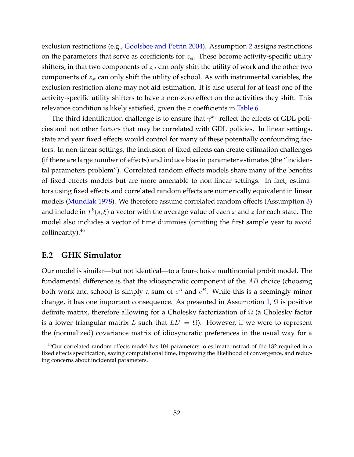exclusion restrictions (e.g., [Goolsbee and Petrin 2004\)](#page-35-7). Assumption [2](#page-26-1) assigns restrictions on the parameters that serve as coefficients for  $z_{st}$ . These become activity-specific utility shifters, in that two components of  $z_{st}$  can only shift the utility of work and the other two components of  $z_{st}$  can only shift the utility of school. As with instrumental variables, the exclusion restriction alone may not aid estimation. It is also useful for at least one of the activity-specific utility shifters to have a non-zero effect on the activities they shift. This relevance condition is likely satisfied, given the  $\pi$  coefficients in [Table 6.](#page-28-0)

The third identification challenge is to ensure that  $\gamma^{k_+}$  reflect the effects of GDL policies and not other factors that may be correlated with GDL policies. In linear settings, state and year fixed effects would control for many of these potentially confounding factors. In non-linear settings, the inclusion of fixed effects can create estimation challenges (if there are large number of effects) and induce bias in parameter estimates (the "incidental parameters problem"). Correlated random effects models share many of the benefits of fixed effects models but are more amenable to non-linear settings. In fact, estimators using fixed effects and correlated random effects are numerically equivalent in linear models [\(Mundlak 1978\)](#page-37-7). We therefore assume correlated random effects (Assumption [3\)](#page-26-2) and include in  $f^k(s, \xi)$  a vector with the average value of each x and z for each state. The model also includes a vector of time dummies (omitting the first sample year to avoid collinearity).<sup>46</sup>

### **E.2 GHK Simulator**

Our model is similar—but not identical—to a four-choice multinomial probit model. The fundamental difference is that the idiosyncratic component of the  $AB$  choice (choosing both work and school) is simply a sum of  $e^A$  and  $e^B$ . While this is a seemingly minor change, it has one important consequence. As presented in Assumption [1,](#page-26-0)  $\Omega$  is positive definite matrix, therefore allowing for a Cholesky factorization of  $\Omega$  (a Cholesky factor is a lower triangular matrix L such that  $LL' = \Omega$ ). However, if we were to represent the (normalized) covariance matrix of idiosyncratic preferences in the usual way for a

<sup>&</sup>lt;sup>46</sup>Our correlated random effects model has 104 parameters to estimate instead of the 182 required in a fixed effects specification, saving computational time, improving the likelihood of convergence, and reducing concerns about incidental parameters.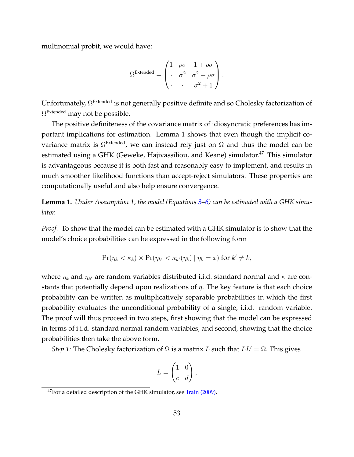multinomial probit, we would have:

$$
\Omega^{\text{Extended}} = \begin{pmatrix} 1 & \rho\sigma & 1+\rho\sigma \\ \cdot & \sigma^2 & \sigma^2+\rho\sigma \\ \cdot & \cdot & \sigma^2+1 \end{pmatrix}.
$$

Unfortunately, Ω<sup>Extended</sup> is not generally positive definite and so Cholesky factorization of  $\Omega^{\operatorname{Extended}}$  may not be possible.

The positive definiteness of the covariance matrix of idiosyncratic preferences has important implications for estimation. Lemma 1 shows that even though the implicit covariance matrix is  $\Omega^{\operatorname{Extended}}$ , we can instead rely just on  $\Omega$  and thus the model can be estimated using a GHK (Geweke, Hajivassiliou, and Keane) simulator.<sup>47</sup> This simulator is advantageous because it is both fast and reasonably easy to implement, and results in much smoother likelihood functions than accept-reject simulators. These properties are computationally useful and also help ensure convergence.

**Lemma 1.** *Under Assumption 1, the model (Equations [3–](#page-25-0)[6\)](#page-25-1) can be estimated with a GHK simulator.*

*Proof.* To show that the model can be estimated with a GHK simulator is to show that the model's choice probabilities can be expressed in the following form

$$
\Pr(\eta_k < \kappa_k) \times \Pr(\eta_{k'} < \kappa_{k'}(\eta_k) \mid \eta_k = x) \text{ for } k' \neq k,
$$

where  $\eta_k$  and  $\eta_{k'}$  are random variables distributed i.i.d. standard normal and  $\kappa$  are constants that potentially depend upon realizations of  $\eta$ . The key feature is that each choice probability can be written as multiplicatively separable probabilities in which the first probability evaluates the unconditional probability of a single, i.i.d. random variable. The proof will thus proceed in two steps, first showing that the model can be expressed in terms of i.i.d. standard normal random variables, and second, showing that the choice probabilities then take the above form.

*Step 1:* The Cholesky factorization of  $\Omega$  is a matrix L such that  $LL' = \Omega$ . This gives

$$
L = \begin{pmatrix} 1 & 0 \\ c & d \end{pmatrix},
$$

 $47$  For a detailed description of the GHK simulator, see [Train \(2009\).](#page-37-8)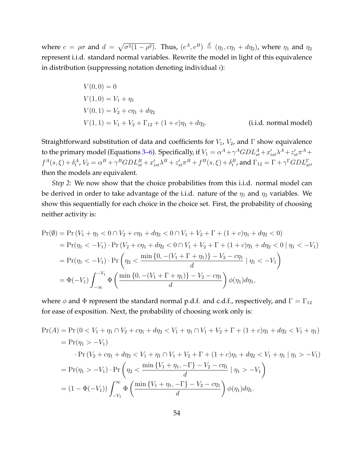where  $c = \rho \sigma$  and  $d = \sqrt{\sigma^2(1-\rho^2)}$ . Thus,  $(e^A, e^B) \stackrel{d}{=} (\eta_1, c\eta_1 + d\eta_2)$ , where  $\eta_1$  and  $\eta_2$ represent i.i.d. standard normal variables. Rewrite the model in light of this equivalence in distribution (suppressing notation denoting individual  $i$ ):

$$
V(0,0) = 0
$$
  
\n
$$
V(1,0) = V_1 + \eta_1
$$
  
\n
$$
V(0,1) = V_2 + c\eta_1 + d\eta_2
$$
  
\n
$$
V(1,1) = V_1 + V_2 + \Gamma_{12} + (1+c)\eta_1 + d\eta_2.
$$
 (i.i.d. normal model)

Straightforward substitution of data and coefficients for  $V_1$ ,  $V_2$ , and  $\Gamma$  show equivalence to the primary model (Equations [3–](#page-25-0)[6\)](#page-25-1). Specifically, if  $V_1=\alpha^A+\gamma^A GDL^A_{st}+x'_{ist}\lambda^A+z'_{st}\pi^A+$  $f^A(s,\xi)+\delta^A_t$ ,  $V_2=\alpha^B+\gamma^BGDL_{st}^B+x'_{ist}\lambda^B+z'_{st}\pi^B+f^B(s,\xi)+\delta^B_t$ , and  $\Gamma_{12}=\Gamma+\gamma^{\Gamma}GDL_{st}^{\Gamma}$ , then the models are equivalent.

*Step 2:* We now show that the choice probabilities from this i.i.d. normal model can be derived in order to take advantage of the i.i.d. nature of the  $\eta_1$  and  $\eta_2$  variables. We show this sequentially for each choice in the choice set. First, the probability of choosing neither activity is:

$$
\Pr(\emptyset) = \Pr(V_1 + \eta_1 < 0 \cap V_2 + c\eta_1 + d\eta_2 < 0 \cap V_1 + V_2 + \Gamma + (1 + c)\eta_1 + d\eta_2 < 0)
$$
\n
$$
= \Pr(\eta_1 < -V_1) \cdot \Pr(V_2 + c\eta_1 + d\eta_2 < 0 \cap V_1 + V_2 + \Gamma + (1 + c)\eta_1 + d\eta_2 < 0 \mid \eta_1 < -V_1)
$$
\n
$$
= \Pr(\eta_1 < -V_1) \cdot \Pr\left(\eta_2 < \frac{\min\{0, -(V_1 + \Gamma + \eta_1)\} - V_2 - c\eta_1}{d} \mid \eta_1 < -V_1\right)
$$
\n
$$
= \Phi(-V_1) \int_{-\infty}^{-V_1} \Phi\left(\frac{\min\{0, -(V_1 + \Gamma + \eta_1)\} - V_2 - c\eta_1}{d}\right) \phi(\eta_1) d\eta_1,
$$

where  $\phi$  and  $\Phi$  represent the standard normal p.d.f. and c.d.f., respectively, and  $\Gamma = \Gamma_{12}$ for ease of exposition. Next, the probability of choosing work only is:

$$
\Pr(A) = \Pr(0 < V_1 + \eta_1 \cap V_2 + c\eta_1 + d\eta_2 < V_1 + \eta_1 \cap V_1 + V_2 + \Gamma + (1 + c)\eta_1 + d\eta_2 < V_1 + \eta_1)
$$
\n
$$
= \Pr(\eta_1 > -V_1)
$$
\n
$$
\cdot \Pr(V_2 + c\eta_1 + d\eta_2 < V_1 + \eta_1 \cap V_1 + V_2 + \Gamma + (1 + c)\eta_1 + d\eta_2 < V_1 + \eta_1 \mid \eta_1 > -V_1)
$$
\n
$$
= \Pr(\eta_1 > -V_1) \cdot \Pr\left(\eta_2 < \frac{\min\{V_1 + \eta_1, -\Gamma\} - V_2 - c\eta_1}{d} \mid \eta_1 > -V_1\right)
$$
\n
$$
= (1 - \Phi(-V_1)) \int_{-V_1}^{\infty} \Phi\left(\frac{\min\{V_1 + \eta_1, -\Gamma\} - V_2 - c\eta_1}{d}\right) \phi(\eta_1) d\eta_1.
$$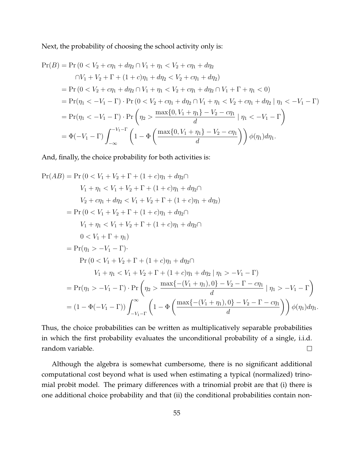Next, the probability of choosing the school activity only is:

$$
Pr(B) = Pr (0 < V_2 + c\eta_1 + d\eta_2 \cap V_1 + \eta_1 < V_2 + c\eta_1 + d\eta_2
$$
  
\n
$$
\cap V_1 + V_2 + \Gamma + (1 + c)\eta_1 + d\eta_2 < V_2 + c\eta_1 + d\eta_2)
$$
  
\n
$$
= Pr (0 < V_2 + c\eta_1 + d\eta_2 \cap V_1 + \eta_1 < V_2 + c\eta_1 + d\eta_2 \cap V_1 + \Gamma + \eta_1 < 0)
$$
  
\n
$$
= Pr(\eta_1 < -V_1 - \Gamma) \cdot Pr (0 < V_2 + c\eta_1 + d\eta_2 \cap V_1 + \eta_1 < V_2 + c\eta_1 + d\eta_2 | \eta_1 < -V_1 - \Gamma)
$$
  
\n
$$
= Pr(\eta_1 < -V_1 - \Gamma) \cdot Pr \left(\eta_2 > \frac{\max\{0, V_1 + \eta_1\} - V_2 - c\eta_1}{d} | \eta_1 < -V_1 - \Gamma\right)
$$
  
\n
$$
= \Phi(-V_1 - \Gamma) \int_{-\infty}^{-V_1 - \Gamma} \left(1 - \Phi\left(\frac{\max\{0, V_1 + \eta_1\} - V_2 - c\eta_1}{d}\right)\right) \phi(\eta_1) d\eta_1.
$$

And, finally, the choice probability for both activities is:

$$
Pr(AB) = Pr(0 < V_1 + V_2 + \Gamma + (1 + c)\eta_1 + d\eta_2\cap
$$
  
\n
$$
V_1 + \eta_1 < V_1 + V_2 + \Gamma + (1 + c)\eta_1 + d\eta_2\cap
$$
  
\n
$$
V_2 + c\eta_1 + d\eta_2 < V_1 + V_2 + \Gamma + (1 + c)\eta_1 + d\eta_2)
$$
  
\n
$$
= Pr(0 < V_1 + V_2 + \Gamma + (1 + c)\eta_1 + d\eta_2\cap
$$
  
\n
$$
V_1 + \eta_1 < V_1 + V_2 + \Gamma + (1 + c)\eta_1 + d\eta_2\cap
$$
  
\n
$$
0 < V_1 + \Gamma + \eta_1
$$
  
\n
$$
= Pr(\eta_1 > -V_1 - \Gamma).
$$
  
\n
$$
Pr(0 < V_1 + V_2 + \Gamma + (1 + c)\eta_1 + d\eta_2\cap
$$
  
\n
$$
V_1 + \eta_1 < V_1 + V_2 + \Gamma + (1 + c)\eta_1 + d\eta_2 \mid \eta_1 > -V_1 - \Gamma)
$$
  
\n
$$
= Pr(\eta_1 > -V_1 - \Gamma) \cdot Pr\left(\eta_2 > \frac{\max\{-(V_1 + \eta_1), 0\} - V_2 - \Gamma - c\eta_1}{d} \mid \eta_1 > -V_1 - \Gamma\right)}
$$
  
\n
$$
= (1 - \Phi(-V_1 - \Gamma)) \int_{-V_1 - \Gamma}^{\infty} \left(1 - \Phi\left(\frac{\max\{-(V_1 + \eta_1), 0\} - V_2 - \Gamma - c\eta_1}{d}\right)\right) \phi(\eta_1) d\eta_1.
$$

Thus, the choice probabilities can be written as multiplicatively separable probabilities in which the first probability evaluates the unconditional probability of a single, i.i.d. random variable.  $\Box$ 

Although the algebra is somewhat cumbersome, there is no significant additional computational cost beyond what is used when estimating a typical (normalized) trinomial probit model. The primary differences with a trinomial probit are that (i) there is one additional choice probability and that (ii) the conditional probabilities contain non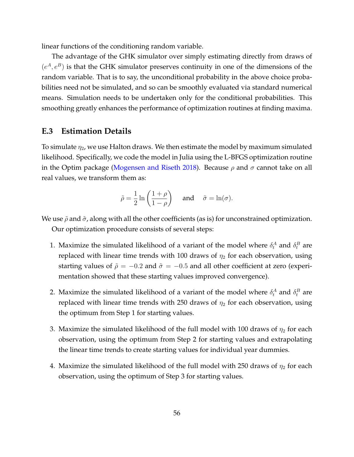linear functions of the conditioning random variable.

The advantage of the GHK simulator over simply estimating directly from draws of  $(e^A, e^B)$  is that the GHK simulator preserves continuity in one of the dimensions of the random variable. That is to say, the unconditional probability in the above choice probabilities need not be simulated, and so can be smoothly evaluated via standard numerical means. Simulation needs to be undertaken only for the conditional probabilities. This smoothing greatly enhances the performance of optimization routines at finding maxima.

### **E.3 Estimation Details**

To simulate  $\eta_2$ , we use Halton draws. We then estimate the model by maximum simulated likelihood. Specifically, we code the model in Julia using the L-BFGS optimization routine in the Optim package [\(Mogensen and Riseth 2018\)](#page-37-9). Because  $\rho$  and  $\sigma$  cannot take on all real values, we transform them as:

$$
\tilde{\rho} = \frac{1}{2} \ln \left( \frac{1+\rho}{1-\rho} \right) \quad \text{and} \quad \tilde{\sigma} = \ln(\sigma).
$$

We use  $\tilde{\rho}$  and  $\tilde{\sigma}$ , along with all the other coefficients (as is) for unconstrained optimization. Our optimization procedure consists of several steps:

- 1. Maximize the simulated likelihood of a variant of the model where  $\delta_t^A$  and  $\delta_t^B$  are replaced with linear time trends with 100 draws of  $\eta_2$  for each observation, using starting values of  $\tilde{\rho} = -0.2$  and  $\tilde{\sigma} = -0.5$  and all other coefficient at zero (experimentation showed that these starting values improved convergence).
- 2. Maximize the simulated likelihood of a variant of the model where  $\delta_t^A$  and  $\delta_t^B$  are replaced with linear time trends with 250 draws of  $\eta_2$  for each observation, using the optimum from Step 1 for starting values.
- 3. Maximize the simulated likelihood of the full model with 100 draws of  $\eta_2$  for each observation, using the optimum from Step 2 for starting values and extrapolating the linear time trends to create starting values for individual year dummies.
- 4. Maximize the simulated likelihood of the full model with 250 draws of  $\eta_2$  for each observation, using the optimum of Step 3 for starting values.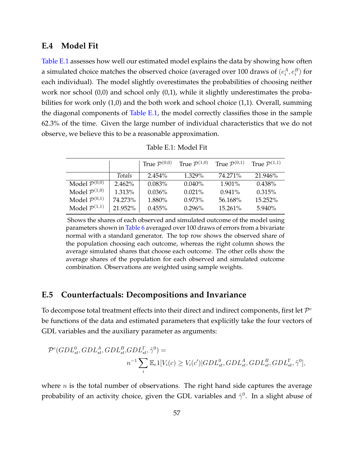### **E.4 Model Fit**

[Table E.1](#page-56-0) assesses how well our estimated model explains the data by showing how often a simulated choice matches the observed choice (averaged over 100 draws of  $(e_i^A,e_i^B)$  for each individual). The model slightly overestimates the probabilities of choosing neither work nor school (0,0) and school only (0,1), while it slightly underestimates the probabilities for work only (1,0) and the both work and school choice (1,1). Overall, summing the diagonal components of [Table E.1,](#page-56-0) the model correctly classifies those in the sample 62.3% of the time. Given the large number of individual characteristics that we do not observe, we believe this to be a reasonable approximation.

<span id="page-56-0"></span>

|                                        |         | True $\mathcal{P}^{(0,0)}$ | True $\mathcal{P}^{(1,0)}$ | True $\mathcal{P}^{(0,1)}$ | True $\mathcal{P}^{(1,1)}$ |
|----------------------------------------|---------|----------------------------|----------------------------|----------------------------|----------------------------|
|                                        | Totals  | $2.454\%$                  | 1.329%                     | 74.271%                    | 21.946%                    |
| Model $\overline{\mathcal{P}^{(0,0)}}$ | 2.462%  | $0.083\%$                  | $0.040\%$                  | 1.901%                     | $0.438\%$                  |
| Model $\mathcal{P}^{(1,0)}$            | 1.313%  | $0.036\%$                  | $0.021\%$                  | $0.941\%$                  | 0.315%                     |
| Model $\mathcal{P}^{(0,1)}$            | 74.273% | 1.880%                     | 0.973%                     | 56.168%                    | 15.252%                    |
| Model $\mathcal{P}^{(1,1)}$            | 21.952% | $0.455\%$                  | $0.296\%$                  | 15.261%                    | 5.940%                     |

Table E.1: Model Fit

Shows the shares of each observed and simulated outcome of the model using parameters shown in [Table 6](#page-28-0) averaged over 100 draws of errors from a bivariate normal with a standard generator. The top row shows the observed share of the population choosing each outcome, whereas the right column shows the average simulated shares that choose each outcome. The other cells show the average shares of the population for each observed and simulated outcome combination. Observations are weighted using sample weights.

### **E.5 Counterfactuals: Decompositions and Invariance**

To decompose total treatment effects into their direct and indirect components, first let  $\mathcal{P}^c$ be functions of the data and estimated parameters that explicitly take the four vectors of GDL variables and the auxiliary parameter as arguments:

$$
\mathcal{P}^c(GDL_{st}^0, GDL_{st}^A, GDL_{st}^B, GDL_{st}^{\Gamma}, \tilde{\gamma}^0) =
$$
  

$$
n^{-1} \sum_i \mathbb{E}_e 1[V_i(c) \ge V_i(c')| GDL_{st}^0, GDL_{st}^A, GDL_{st}^B, GDL_{st}^{\Gamma}, \tilde{\gamma}^0],
$$

where  $n$  is the total number of observations. The right hand side captures the average probability of an activity choice, given the GDL variables and  $\tilde{\gamma}^0$ . In a slight abuse of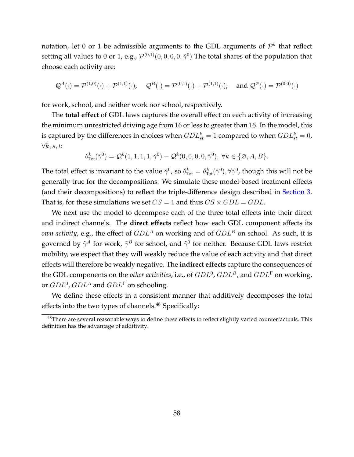notation, let 0 or 1 be admissible arguments to the GDL arguments of  $\mathcal{P}^k$  that reflect setting all values to 0 or 1, e.g.,  $\mathcal{P}^{(0,1)}(0,0,0,0,\tilde{\gamma}^0)$  The total shares of the population that choose each activity are:

$$
\mathcal{Q}^A(\cdot)=\mathcal{P}^{(1,0)}(\cdot)+\mathcal{P}^{(1,1)}(\cdot),\quad \mathcal{Q}^B(\cdot)=\mathcal{P}^{(0,1)}(\cdot)+\mathcal{P}^{(1,1)}(\cdot),\quad \text{and } \mathcal{Q}^\varnothing(\cdot)=\mathcal{P}^{(0,0)}(\cdot)
$$

for work, school, and neither work nor school, respectively.

The **total effect** of GDL laws captures the overall effect on each activity of increasing the minimum unrestricted driving age from 16 or less to greater than 16. In the model, this is captured by the differences in choices when  $GDL^k_{st}=1$  compared to when  $GDL^k_{st}=0$ ,  $\forall k, s, t$ :

$$
\theta_{\text{Tot}}^k(\tilde{\gamma}^0) = \mathcal{Q}^k(1,1,1,1,\tilde{\gamma}^0) - \mathcal{Q}^k(0,0,0,0,\tilde{\gamma}^0), \ \forall k \in \{\emptyset, A, B\}.
$$

The total effect is invariant to the value  $\tilde{\gamma}^0$ , so  $\theta^k_{\text{Tot}} = \theta^k_{\text{Tot}}(\tilde{\gamma}^0), \forall \tilde{\gamma}^0$ , though this will not be generally true for the decompositions. We simulate these model-based treatment effects (and their decompositions) to reflect the triple-difference design described in [Section 3.](#page-9-0) That is, for these simulations we set  $CS = 1$  and thus  $CS \times GDL = GDL$ .

We next use the model to decompose each of the three total effects into their direct and indirect channels. The **direct effects** reflect how each GDL component affects its *own activity*, e.g., the effect of  $GDL<sup>A</sup>$  on working and of  $GDL<sup>B</sup>$  on school. As such, it is governed by  $\tilde{\gamma}^A$  for work,  $\tilde{\gamma}^B$  for school, and  $\tilde{\gamma}^0$  for neither. Because GDL laws restrict mobility, we expect that they will weakly reduce the value of each activity and that direct effects will therefore be weakly negative. The **indirect effects** capture the consequences of the GDL components on the *other activities*, i.e., of  $GDL^0$ ,  $GDL^B$ , and  $GDL^{\Gamma}$  on working, or  $GDL^0$ ,  $GDL^A$  and  $GDL^{\Gamma}$  on schooling.

We define these effects in a consistent manner that additively decomposes the total effects into the two types of channels.<sup>48</sup> Specifically:

<sup>&</sup>lt;sup>48</sup>There are several reasonable ways to define these effects to reflect slightly varied counterfactuals. This definition has the advantage of additivity.